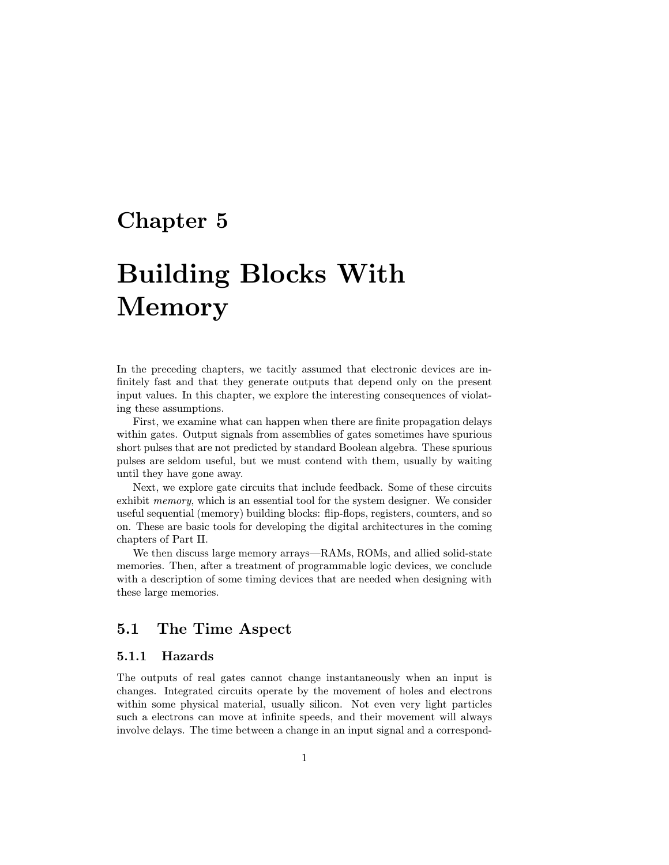## Chapter 5

# Building Blocks With Memory

In the preceding chapters, we tacitly assumed that electronic devices are infinitely fast and that they generate outputs that depend only on the present input values. In this chapter, we explore the interesting consequences of violating these assumptions.

First, we examine what can happen when there are finite propagation delays within gates. Output signals from assemblies of gates sometimes have spurious short pulses that are not predicted by standard Boolean algebra. These spurious pulses are seldom useful, but we must contend with them, usually by waiting until they have gone away.

Next, we explore gate circuits that include feedback. Some of these circuits exhibit memory, which is an essential tool for the system designer. We consider useful sequential (memory) building blocks: flip-flops, registers, counters, and so on. These are basic tools for developing the digital architectures in the coming chapters of Part II.

We then discuss large memory arrays—RAMs, ROMs, and allied solid-state memories. Then, after a treatment of programmable logic devices, we conclude with a description of some timing devices that are needed when designing with these large memories.

### 5.1 The Time Aspect

#### 5.1.1 Hazards

The outputs of real gates cannot change instantaneously when an input is changes. Integrated circuits operate by the movement of holes and electrons within some physical material, usually silicon. Not even very light particles such a electrons can move at infinite speeds, and their movement will always involve delays. The time between a change in an input signal and a correspond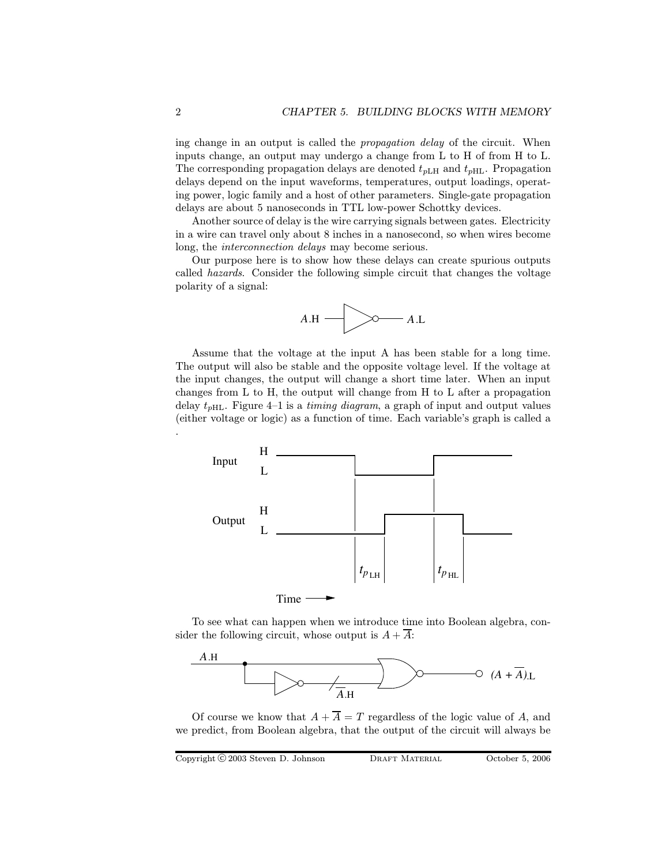ing change in an output is called the propagation delay of the circuit. When inputs change, an output may undergo a change from L to H of from H to L. The corresponding propagation delays are denoted  $t_{p<sub>HH</sub>}$  and  $t_{p<sub>HH</sub>}$ . Propagation delays depend on the input waveforms, temperatures, output loadings, operating power, logic family and a host of other parameters. Single-gate propagation delays are about 5 nanoseconds in TTL low-power Schottky devices.

Another source of delay is the wire carrying signals between gates. Electricity in a wire can travel only about 8 inches in a nanosecond, so when wires become long, the interconnection delays may become serious.

Our purpose here is to show how these delays can create spurious outputs called hazards. Consider the following simple circuit that changes the voltage polarity of a signal:



Assume that the voltage at the input A has been stable for a long time. The output will also be stable and the opposite voltage level. If the voltage at the input changes, the output will change a short time later. When an input changes from L to H, the output will change from H to L after a propagation delay  $t_{\text{pHL}}$ . Figure 4–1 is a *timing diagram*, a graph of input and output values (either voltage or logic) as a function of time. Each variable's graph is called a



To see what can happen when we introduce time into Boolean algebra, consider the following circuit, whose output is  $A + A$ :



Of course we know that  $A + \overline{A} = T$  regardless of the logic value of A, and we predict, from Boolean algebra, that the output of the circuit will always be

Copyright © 2003 Steven D. Johnson DRAFT MATERIAL October 5, 2006

.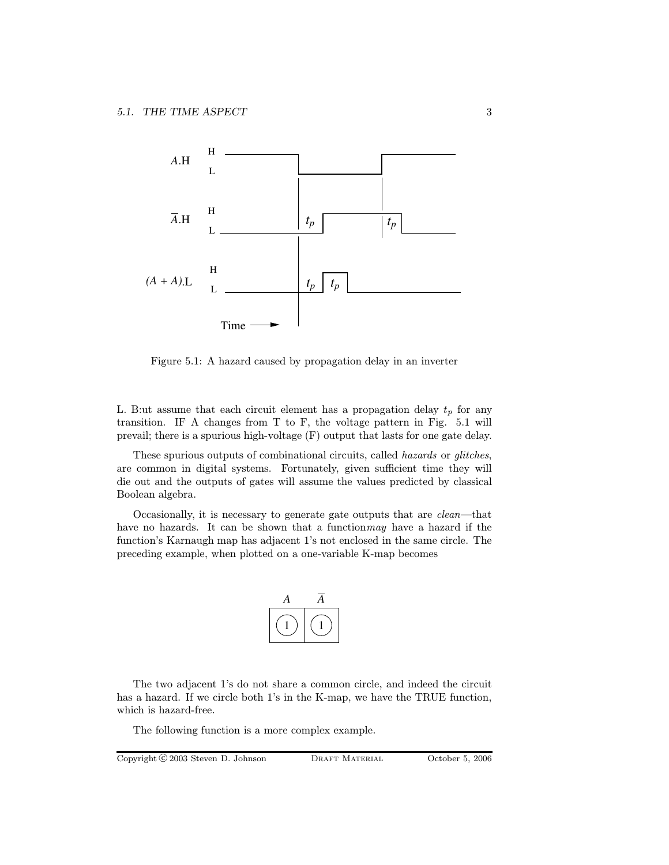

Figure 5.1: A hazard caused by propagation delay in an inverter

L. B:ut assume that each circuit element has a propagation delay  $t_p$  for any transition. IF A changes from T to F, the voltage pattern in Fig. 5.1 will prevail; there is a spurious high-voltage (F) output that lasts for one gate delay.

These spurious outputs of combinational circuits, called *hazards* or *glitches*, are common in digital systems. Fortunately, given sufficient time they will die out and the outputs of gates will assume the values predicted by classical Boolean algebra.

Occasionally, it is necessary to generate gate outputs that are clean—that have no hazards. It can be shown that a function may have a hazard if the function's Karnaugh map has adjacent 1's not enclosed in the same circle. The preceding example, when plotted on a one-variable K-map becomes



The two adjacent 1's do not share a common circle, and indeed the circuit has a hazard. If we circle both 1's in the K-map, we have the TRUE function, which is hazard-free.

The following function is a more complex example.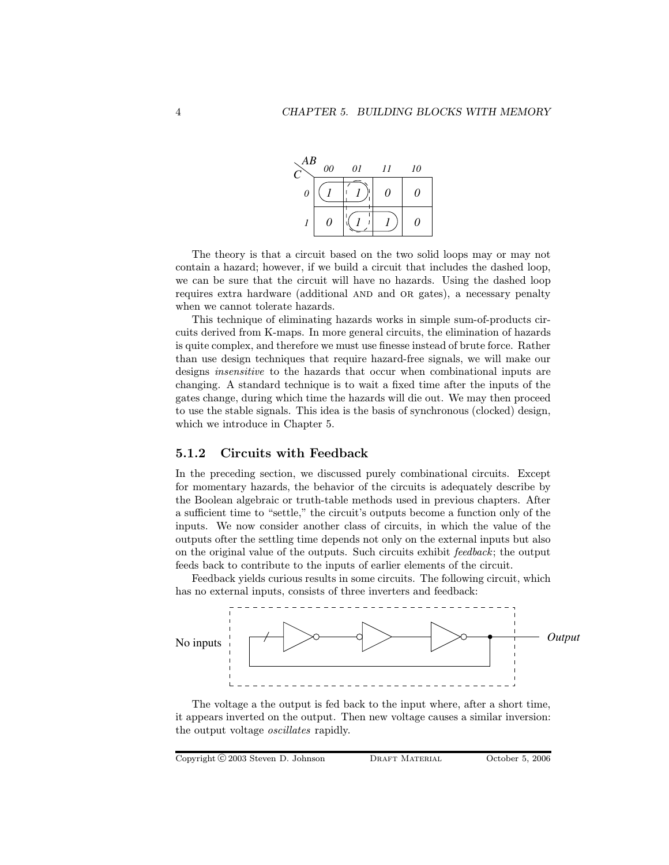

The theory is that a circuit based on the two solid loops may or may not contain a hazard; however, if we build a circuit that includes the dashed loop, we can be sure that the circuit will have no hazards. Using the dashed loop requires extra hardware (additional AND and OR gates), a necessary penalty when we cannot tolerate hazards.

This technique of eliminating hazards works in simple sum-of-products circuits derived from K-maps. In more general circuits, the elimination of hazards is quite complex, and therefore we must use finesse instead of brute force. Rather than use design techniques that require hazard-free signals, we will make our designs insensitive to the hazards that occur when combinational inputs are changing. A standard technique is to wait a fixed time after the inputs of the gates change, during which time the hazards will die out. We may then proceed to use the stable signals. This idea is the basis of synchronous (clocked) design, which we introduce in Chapter 5.

#### 5.1.2 Circuits with Feedback

In the preceding section, we discussed purely combinational circuits. Except for momentary hazards, the behavior of the circuits is adequately describe by the Boolean algebraic or truth-table methods used in previous chapters. After a sufficient time to "settle," the circuit's outputs become a function only of the inputs. We now consider another class of circuits, in which the value of the outputs ofter the settling time depends not only on the external inputs but also on the original value of the outputs. Such circuits exhibit feedback; the output feeds back to contribute to the inputs of earlier elements of the circuit.

Feedback yields curious results in some circuits. The following circuit, which has no external inputs, consists of three inverters and feedback:



The voltage a the output is fed back to the input where, after a short time, it appears inverted on the output. Then new voltage causes a similar inversion: the output voltage oscillates rapidly.

Copyright © 2003 Steven D. Johnson DRAFT MATERIAL October 5, 2006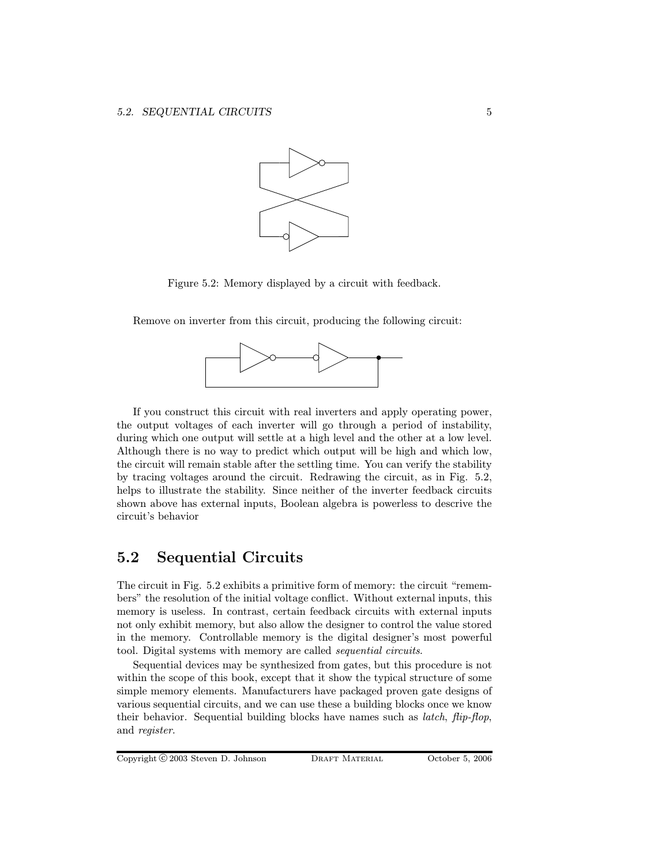

Figure 5.2: Memory displayed by a circuit with feedback.

Remove on inverter from this circuit, producing the following circuit:



If you construct this circuit with real inverters and apply operating power, the output voltages of each inverter will go through a period of instability, during which one output will settle at a high level and the other at a low level. Although there is no way to predict which output will be high and which low, the circuit will remain stable after the settling time. You can verify the stability by tracing voltages around the circuit. Redrawing the circuit, as in Fig. 5.2, helps to illustrate the stability. Since neither of the inverter feedback circuits shown above has external inputs, Boolean algebra is powerless to descrive the circuit's behavior

## 5.2 Sequential Circuits

The circuit in Fig. 5.2 exhibits a primitive form of memory: the circuit "remembers" the resolution of the initial voltage conflict. Without external inputs, this memory is useless. In contrast, certain feedback circuits with external inputs not only exhibit memory, but also allow the designer to control the value stored in the memory. Controllable memory is the digital designer's most powerful tool. Digital systems with memory are called sequential circuits.

Sequential devices may be synthesized from gates, but this procedure is not within the scope of this book, except that it show the typical structure of some simple memory elements. Manufacturers have packaged proven gate designs of various sequential circuits, and we can use these a building blocks once we know their behavior. Sequential building blocks have names such as latch, flip-flop, and register.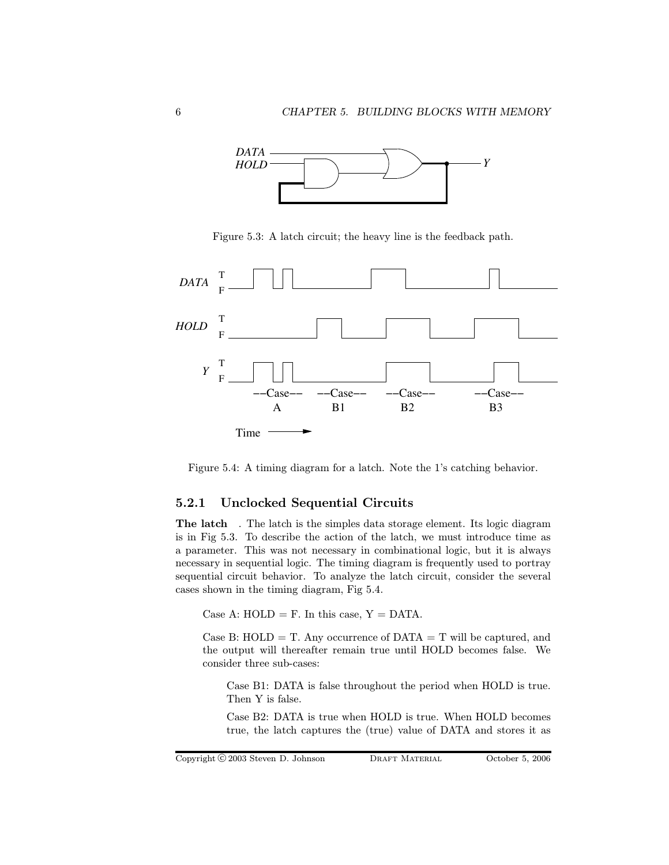

Figure 5.3: A latch circuit; the heavy line is the feedback path.



Figure 5.4: A timing diagram for a latch. Note the 1's catching behavior.

#### 5.2.1 Unclocked Sequential Circuits

The latch . The latch is the simples data storage element. Its logic diagram is in Fig 5.3. To describe the action of the latch, we must introduce time as a parameter. This was not necessary in combinational logic, but it is always necessary in sequential logic. The timing diagram is frequently used to portray sequential circuit behavior. To analyze the latch circuit, consider the several cases shown in the timing diagram, Fig 5.4.

Case A:  $HOLD = F$ . In this case,  $Y = DATA$ .

Case B:  $HOLD = T$ . Any occurrence of  $DATA = T$  will be captured, and the output will thereafter remain true until HOLD becomes false. We consider three sub-cases:

Case B1: DATA is false throughout the period when HOLD is true. Then Y is false.

Case B2: DATA is true when HOLD is true. When HOLD becomes true, the latch captures the (true) value of DATA and stores it as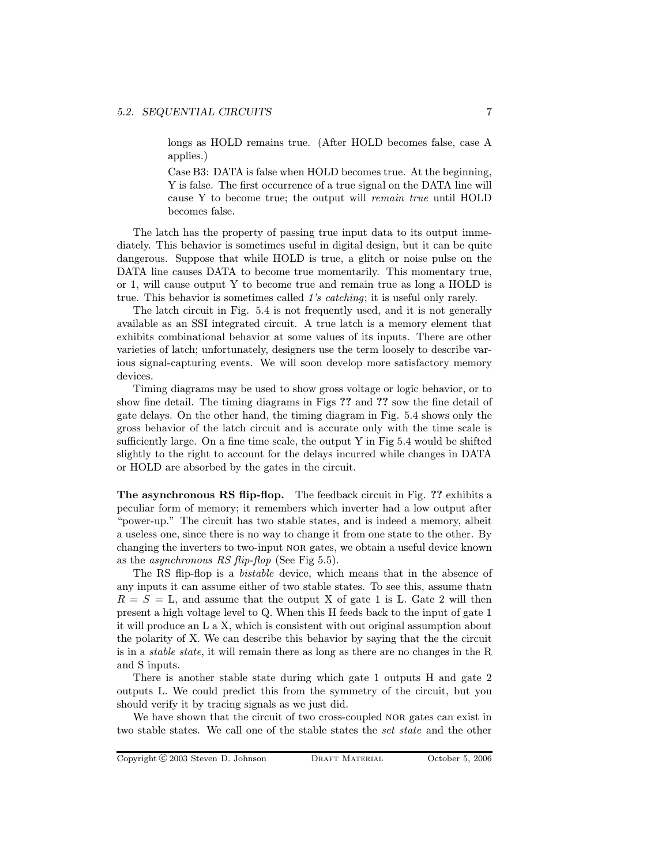longs as HOLD remains true. (After HOLD becomes false, case A applies.)

Case B3: DATA is false when HOLD becomes true. At the beginning, Y is false. The first occurrence of a true signal on the DATA line will cause Y to become true; the output will remain true until HOLD becomes false.

The latch has the property of passing true input data to its output immediately. This behavior is sometimes useful in digital design, but it can be quite dangerous. Suppose that while HOLD is true, a glitch or noise pulse on the DATA line causes DATA to become true momentarily. This momentary true, or 1, will cause output Y to become true and remain true as long a HOLD is true. This behavior is sometimes called 1's catching; it is useful only rarely.

The latch circuit in Fig. 5.4 is not frequently used, and it is not generally available as an SSI integrated circuit. A true latch is a memory element that exhibits combinational behavior at some values of its inputs. There are other varieties of latch; unfortunately, designers use the term loosely to describe various signal-capturing events. We will soon develop more satisfactory memory devices.

Timing diagrams may be used to show gross voltage or logic behavior, or to show fine detail. The timing diagrams in Figs ?? and ?? sow the fine detail of gate delays. On the other hand, the timing diagram in Fig. 5.4 shows only the gross behavior of the latch circuit and is accurate only with the time scale is sufficiently large. On a fine time scale, the output Y in Fig 5.4 would be shifted slightly to the right to account for the delays incurred while changes in DATA or HOLD are absorbed by the gates in the circuit.

The asynchronous RS flip-flop. The feedback circuit in Fig. ?? exhibits a peculiar form of memory; it remembers which inverter had a low output after "power-up." The circuit has two stable states, and is indeed a memory, albeit a useless one, since there is no way to change it from one state to the other. By changing the inverters to two-input nor gates, we obtain a useful device known as the asynchronous RS flip-flop (See Fig 5.5).

The RS flip-flop is a *bistable* device, which means that in the absence of any inputs it can assume either of two stable states. To see this, assume thatn  $R = S = L$ , and assume that the output X of gate 1 is L. Gate 2 will then present a high voltage level to Q. When this H feeds back to the input of gate 1 it will produce an L a X, which is consistent with out original assumption about the polarity of X. We can describe this behavior by saying that the the circuit is in a stable state, it will remain there as long as there are no changes in the R and S inputs.

There is another stable state during which gate 1 outputs H and gate 2 outputs L. We could predict this from the symmetry of the circuit, but you should verify it by tracing signals as we just did.

We have shown that the circuit of two cross-coupled NOR gates can exist in two stable states. We call one of the stable states the set state and the other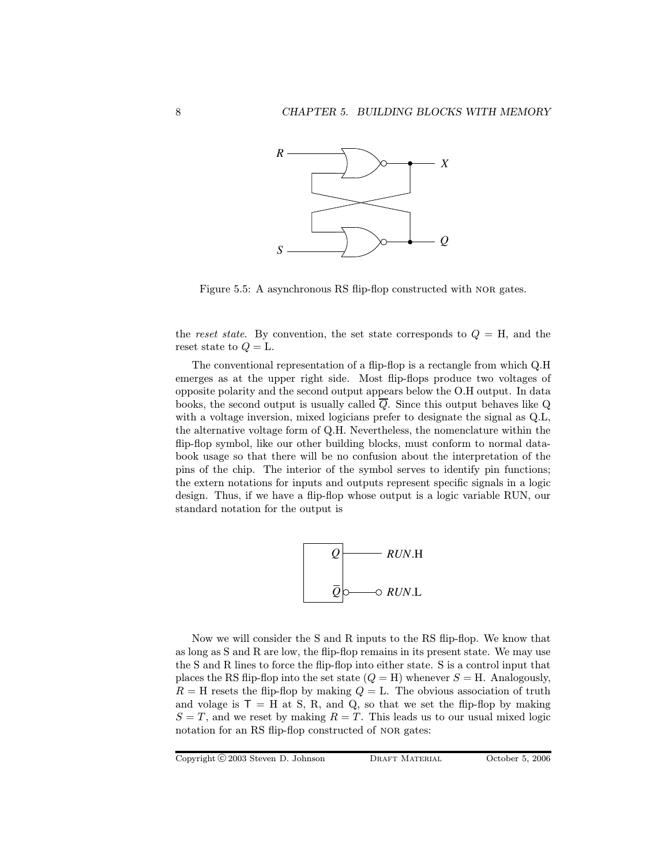

Figure 5.5: A asynchronous RS flip-flop constructed with NOR gates.

the reset state. By convention, the set state corresponds to  $Q = H$ , and the reset state to  $Q = L$ .

The conventional representation of a flip-flop is a rectangle from which Q.H emerges as at the upper right side. Most flip-flops produce two voltages of opposite polarity and the second output appears below the O.H output. In data books, the second output is usually called  $\overline{Q}$ . Since this output behaves like Q with a voltage inversion, mixed logicians prefer to designate the signal as Q.L, the alternative voltage form of Q.H. Nevertheless, the nomenclature within the flip-flop symbol, like our other building blocks, must conform to normal databook usage so that there will be no confusion about the interpretation of the pins of the chip. The interior of the symbol serves to identify pin functions; the extern notations for inputs and outputs represent specific signals in a logic design. Thus, if we have a flip-flop whose output is a logic variable RUN, our standard notation for the output is



Now we will consider the S and R inputs to the RS flip-flop. We know that as long as S and R are low, the flip-flop remains in its present state. We may use the S and R lines to force the flip-flop into either state. S is a control input that places the RS flip-flop into the set state  $(Q = H)$  whenever  $S = H$ . Analogously,  $R = H$  resets the flip-flop by making  $Q = L$ . The obvious association of truth and volage is  $T = H$  at S, R, and Q, so that we set the flip-flop by making  $S = T$ , and we reset by making  $R = T$ . This leads us to our usual mixed logic notation for an RS flip-flop constructed of nor gates: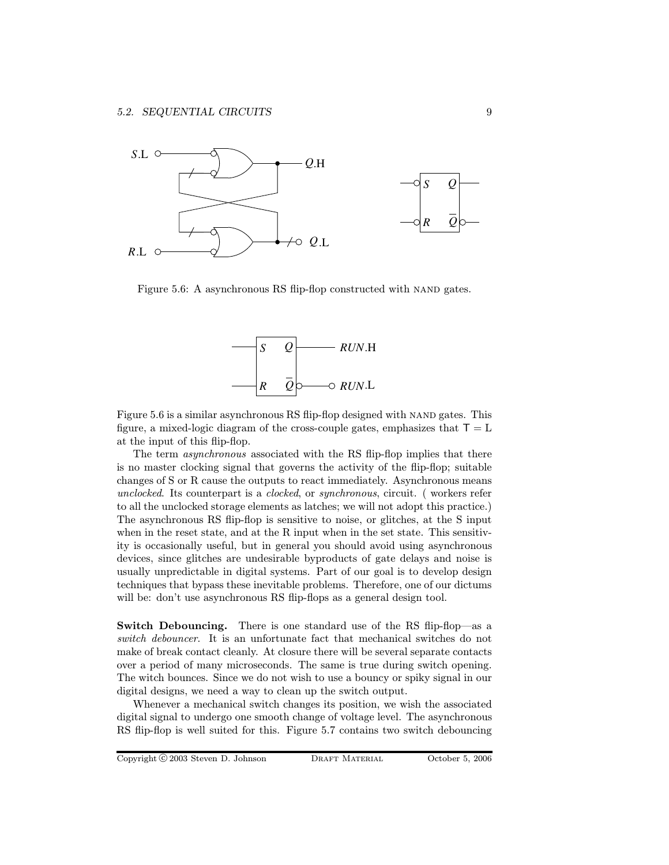

Figure 5.6: A asynchronous RS flip-flop constructed with NAND gates.



Figure 5.6 is a similar asynchronous RS flip-flop designed with NAND gates. This figure, a mixed-logic diagram of the cross-couple gates, emphasizes that  $T = L$ at the input of this flip-flop.

The term *asynchronous* associated with the RS flip-flop implies that there is no master clocking signal that governs the activity of the flip-flop; suitable changes of S or R cause the outputs to react immediately. Asynchronous means unclocked. Its counterpart is a clocked, or synchronous, circuit. ( workers refer to all the unclocked storage elements as latches; we will not adopt this practice.) The asynchronous RS flip-flop is sensitive to noise, or glitches, at the S input when in the reset state, and at the R input when in the set state. This sensitivity is occasionally useful, but in general you should avoid using asynchronous devices, since glitches are undesirable byproducts of gate delays and noise is usually unpredictable in digital systems. Part of our goal is to develop design techniques that bypass these inevitable problems. Therefore, one of our dictums will be: don't use asynchronous RS flip-flops as a general design tool.

Switch Debouncing. There is one standard use of the RS flip-flop—as a switch debouncer. It is an unfortunate fact that mechanical switches do not make of break contact cleanly. At closure there will be several separate contacts over a period of many microseconds. The same is true during switch opening. The witch bounces. Since we do not wish to use a bouncy or spiky signal in our digital designs, we need a way to clean up the switch output.

Whenever a mechanical switch changes its position, we wish the associated digital signal to undergo one smooth change of voltage level. The asynchronous RS flip-flop is well suited for this. Figure 5.7 contains two switch debouncing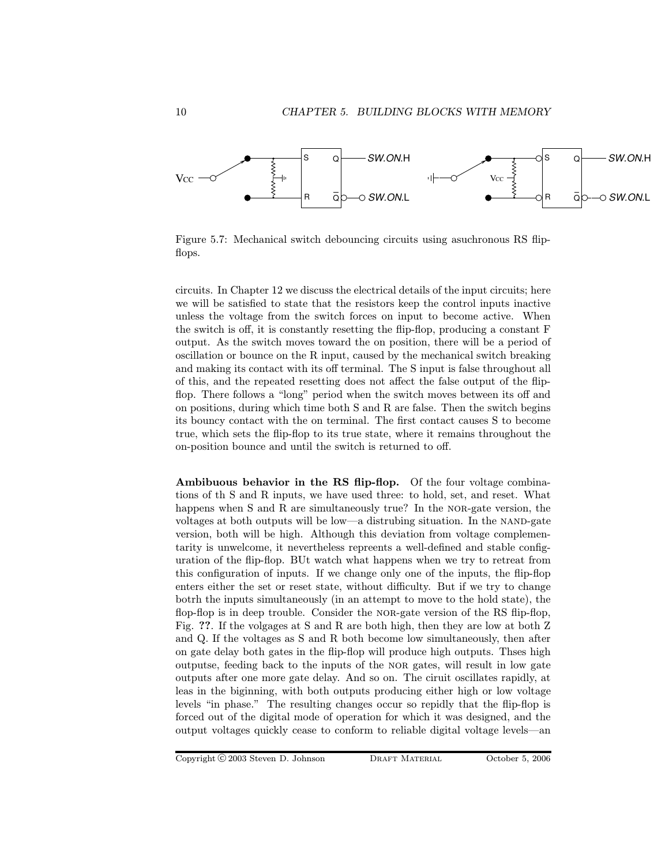

Figure 5.7: Mechanical switch debouncing circuits using asuchronous RS flipflops.

circuits. In Chapter 12 we discuss the electrical details of the input circuits; here we will be satisfied to state that the resistors keep the control inputs inactive unless the voltage from the switch forces on input to become active. When the switch is off, it is constantly resetting the flip-flop, producing a constant F output. As the switch moves toward the on position, there will be a period of oscillation or bounce on the R input, caused by the mechanical switch breaking and making its contact with its off terminal. The S input is false throughout all of this, and the repeated resetting does not affect the false output of the flipflop. There follows a "long" period when the switch moves between its off and on positions, during which time both S and R are false. Then the switch begins its bouncy contact with the on terminal. The first contact causes S to become true, which sets the flip-flop to its true state, where it remains throughout the on-position bounce and until the switch is returned to off.

Ambibuous behavior in the RS flip-flop. Of the four voltage combinations of th S and R inputs, we have used three: to hold, set, and reset. What happens when S and R are simultaneously true? In the NOR-gate version, the voltages at both outputs will be low—a distrubing situation. In the NAND-gate version, both will be high. Although this deviation from voltage complementarity is unwelcome, it nevertheless repreents a well-defined and stable configuration of the flip-flop. BUt watch what happens when we try to retreat from this configuration of inputs. If we change only one of the inputs, the flip-flop enters either the set or reset state, without difficulty. But if we try to change botrh the inputs simultaneously (in an attempt to move to the hold state), the flop-flop is in deep trouble. Consider the NOR-gate version of the RS flip-flop, Fig. ??. If the volgages at S and R are both high, then they are low at both Z and Q. If the voltages as S and R both become low simultaneously, then after on gate delay both gates in the flip-flop will produce high outputs. Thses high outputse, feeding back to the inputs of the nor gates, will result in low gate outputs after one more gate delay. And so on. The ciruit oscillates rapidly, at leas in the biginning, with both outputs producing either high or low voltage levels "in phase." The resulting changes occur so repidly that the flip-flop is forced out of the digital mode of operation for which it was designed, and the output voltages quickly cease to conform to reliable digital voltage levels—an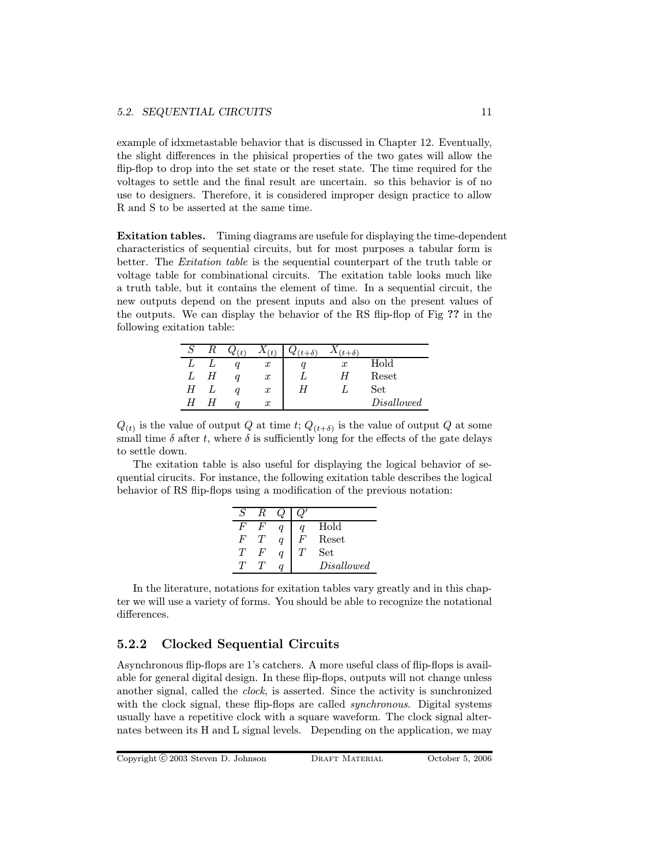example of idxmetastable behavior that is discussed in Chapter 12. Eventually, the slight differences in the phisical properties of the two gates will allow the flip-flop to drop into the set state or the reset state. The time required for the voltages to settle and the final result are uncertain. so this behavior is of no use to designers. Therefore, it is considered improper design practice to allow R and S to be asserted at the same time.

Exitation tables. Timing diagrams are usefule for displaying the time-dependent characteristics of sequential circuits, but for most purposes a tabular form is better. The Exitation table is the sequential counterpart of the truth table or voltage table for combinational circuits. The exitation table looks much like a truth table, but it contains the element of time. In a sequential circuit, the new outputs depend on the present inputs and also on the present values of the outputs. We can display the behavior of the RS flip-flop of Fig ?? in the following exitation table:

|   | R | ₩ |                  | $t+\delta$ | $t+\delta$       |                  |
|---|---|---|------------------|------------|------------------|------------------|
|   |   |   | $\boldsymbol{x}$ |            | $\boldsymbol{x}$ | $_{\rm Hold}$    |
|   |   |   | $\boldsymbol{x}$ |            |                  | Reset            |
| Н |   |   | $\boldsymbol{x}$ | Η          |                  | Set              |
| Η |   |   | $\boldsymbol{x}$ |            |                  | $\it Disallowed$ |

 $Q_{(t)}$  is the value of output  $Q$  at time  $t$ ;  $Q_{(t+\delta)}$  is the value of output  $Q$  at some small time  $\delta$  after t, where  $\delta$  is sufficiently long for the effects of the gate delays to settle down.

The exitation table is also useful for displaying the logical behavior of sequential cirucits. For instance, the following exitation table describes the logical behavior of RS flip-flops using a modification of the previous notation:

| S  | R |   |       |            |
|----|---|---|-------|------------|
|    |   | a |       | Hold       |
| ₩. |   | q | $H^+$ | Reset      |
|    | н | q |       | Set        |
|    |   |   |       | Disallowed |

In the literature, notations for exitation tables vary greatly and in this chapter we will use a variety of forms. You should be able to recognize the notational differences.

#### 5.2.2 Clocked Sequential Circuits

Asynchronous flip-flops are 1's catchers. A more useful class of flip-flops is available for general digital design. In these flip-flops, outputs will not change unless another signal, called the clock, is asserted. Since the activity is sunchronized with the clock signal, these flip-flops are called *synchronous*. Digital systems usually have a repetitive clock with a square waveform. The clock signal alternates between its H and L signal levels. Depending on the application, we may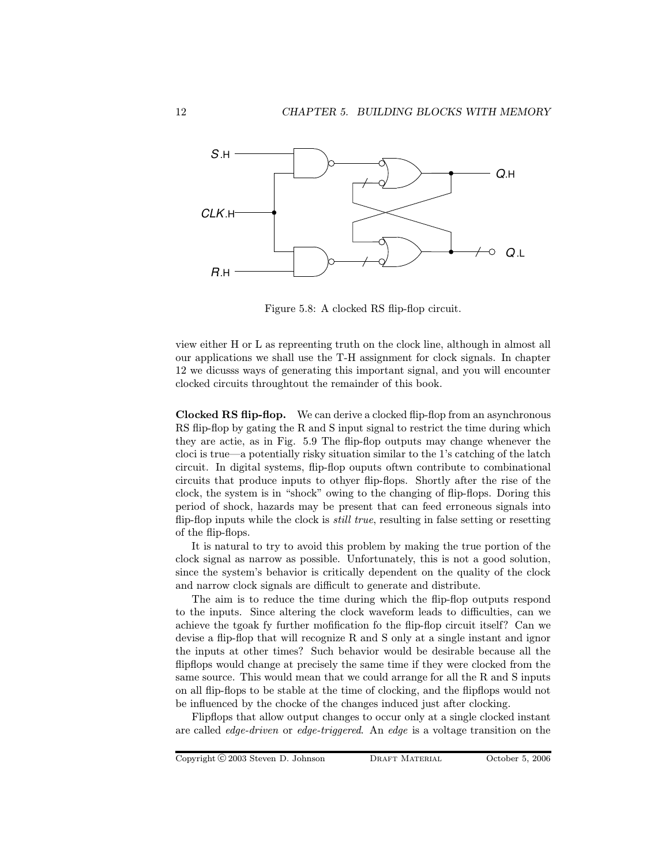

Figure 5.8: A clocked RS flip-flop circuit.

view either H or L as repreenting truth on the clock line, although in almost all our applications we shall use the T-H assignment for clock signals. In chapter 12 we dicusss ways of generating this important signal, and you will encounter clocked circuits throughtout the remainder of this book.

Clocked RS flip-flop. We can derive a clocked flip-flop from an asynchronous RS flip-flop by gating the R and S input signal to restrict the time during which they are actie, as in Fig. 5.9 The flip-flop outputs may change whenever the cloci is true—a potentially risky situation similar to the 1's catching of the latch circuit. In digital systems, flip-flop ouputs oftwn contribute to combinational circuits that produce inputs to othyer flip-flops. Shortly after the rise of the clock, the system is in "shock" owing to the changing of flip-flops. Doring this period of shock, hazards may be present that can feed erroneous signals into flip-flop inputs while the clock is *still true*, resulting in false setting or resetting of the flip-flops.

It is natural to try to avoid this problem by making the true portion of the clock signal as narrow as possible. Unfortunately, this is not a good solution, since the system's behavior is critically dependent on the quality of the clock and narrow clock signals are difficult to generate and distribute.

The aim is to reduce the time during which the flip-flop outputs respond to the inputs. Since altering the clock waveform leads to difficulties, can we achieve the tgoak fy further mofification fo the flip-flop circuit itself? Can we devise a flip-flop that will recognize R and S only at a single instant and ignor the inputs at other times? Such behavior would be desirable because all the flipflops would change at precisely the same time if they were clocked from the same source. This would mean that we could arrange for all the R and S inputs on all flip-flops to be stable at the time of clocking, and the flipflops would not be influenced by the chocke of the changes induced just after clocking.

Flipflops that allow output changes to occur only at a single clocked instant are called edge-driven or edge-triggered. An edge is a voltage transition on the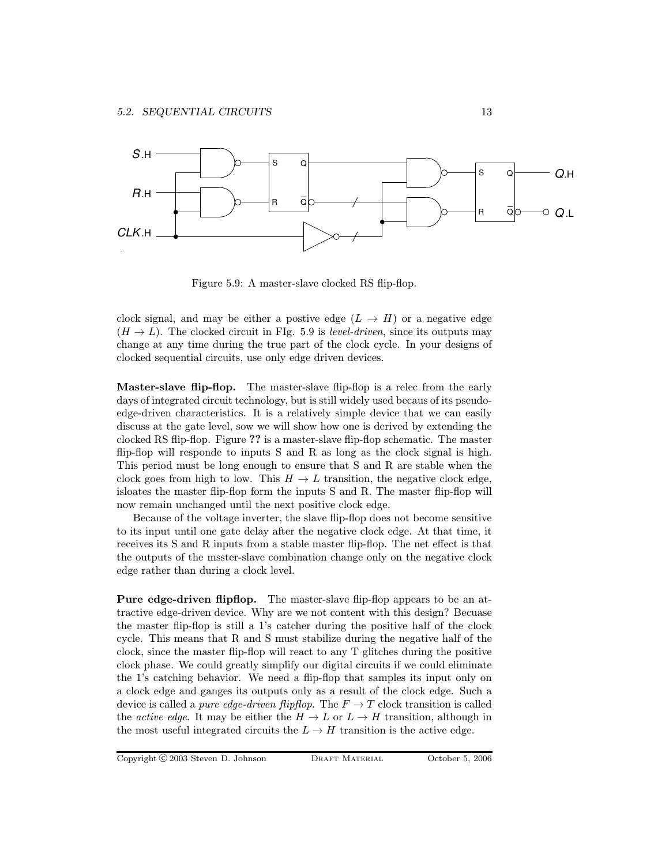

Figure 5.9: A master-slave clocked RS flip-flop.

clock signal, and may be either a postive edge  $(L \rightarrow H)$  or a negative edge  $(H \rightarrow L)$ . The clocked circuit in FIg. 5.9 is level-driven, since its outputs may change at any time during the true part of the clock cycle. In your designs of clocked sequential circuits, use only edge driven devices.

Master-slave flip-flop. The master-slave flip-flop is a relec from the early days of integrated circuit technology, but is still widely used becaus of its pseudoedge-driven characteristics. It is a relatively simple device that we can easily discuss at the gate level, sow we will show how one is derived by extending the clocked RS flip-flop. Figure ?? is a master-slave flip-flop schematic. The master flip-flop will responde to inputs S and R as long as the clock signal is high. This period must be long enough to ensure that S and R are stable when the clock goes from high to low. This  $H \to L$  transition, the negative clock edge, isloates the master flip-flop form the inputs S and R. The master flip-flop will now remain unchanged until the next positive clock edge.

Because of the voltage inverter, the slave flip-flop does not become sensitive to its input until one gate delay after the negative clock edge. At that time, it receives its S and R inputs from a stable master flip-flop. The net effect is that the outputs of the msster-slave combination change only on the negative clock edge rather than during a clock level.

Pure edge-driven flipflop. The master-slave flip-flop appears to be an attractive edge-driven device. Why are we not content with this design? Becuase the master flip-flop is still a 1's catcher during the positive half of the clock cycle. This means that R and S must stabilize during the negative half of the clock, since the master flip-flop will react to any T glitches during the positive clock phase. We could greatly simplify our digital circuits if we could eliminate the 1's catching behavior. We need a flip-flop that samples its input only on a clock edge and ganges its outputs only as a result of the clock edge. Such a device is called a *pure edge-driven flipflop*. The  $F \to T$  clock transition is called the active edge. It may be either the  $H \to L$  or  $L \to H$  transition, although in the most useful integrated circuits the  $L \to H$  transition is the active edge.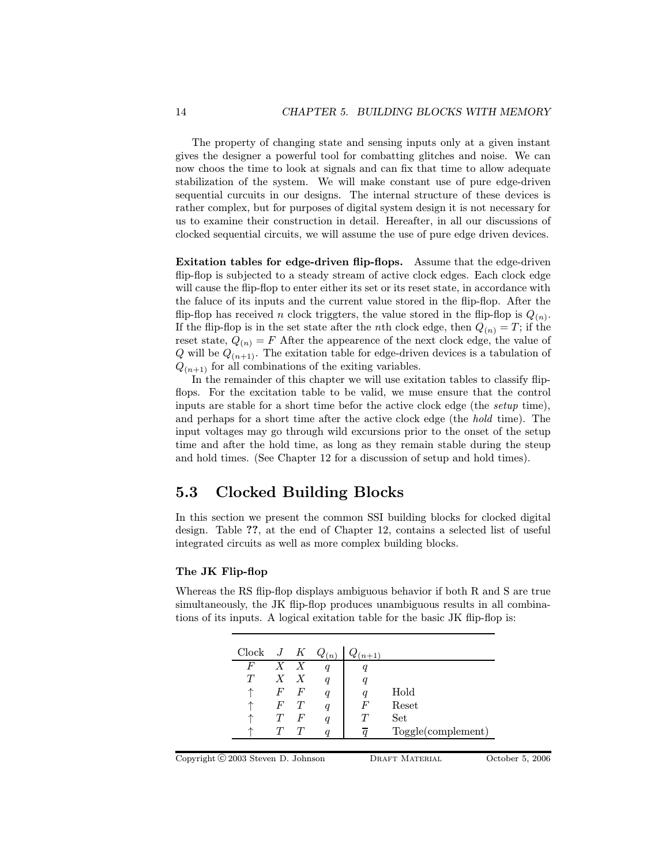The property of changing state and sensing inputs only at a given instant gives the designer a powerful tool for combatting glitches and noise. We can now choos the time to look at signals and can fix that time to allow adequate stabilization of the system. We will make constant use of pure edge-driven sequential curcuits in our designs. The internal structure of these devices is rather complex, but for purposes of digital system design it is not necessary for us to examine their construction in detail. Hereafter, in all our discussions of clocked sequential circuits, we will assume the use of pure edge driven devices.

Exitation tables for edge-driven flip-flops. Assume that the edge-driven flip-flop is subjected to a steady stream of active clock edges. Each clock edge will cause the flip-flop to enter either its set or its reset state, in accordance with the faluce of its inputs and the current value stored in the flip-flop. After the flip-flop has received n clock triggters, the value stored in the flip-flop is  $Q_{(n)}$ . If the flip-flop is in the set state after the *n*th clock edge, then  $Q_{(n)} = T$ ; if the reset state,  $Q_{(n)} = F$  After the appearence of the next clock edge, the value of Q will be  $Q_{(n+1)}$ . The exitation table for edge-driven devices is a tabulation of  $Q_{(n+1)}$  for all combinations of the exiting variables.

In the remainder of this chapter we will use exitation tables to classify flipflops. For the excitation table to be valid, we muse ensure that the control inputs are stable for a short time befor the active clock edge (the setup time), and perhaps for a short time after the active clock edge (the hold time). The input voltages may go through wild excursions prior to the onset of the setup time and after the hold time, as long as they remain stable during the steup and hold times. (See Chapter 12 for a discussion of setup and hold times).

## 5.3 Clocked Building Blocks

In this section we present the common SSI building blocks for clocked digital design. Table ??, at the end of Chapter 12, contains a selected list of useful integrated circuits as well as more complex building blocks.

#### The JK Flip-flop

Whereas the RS flip-flop displays ambiguous behavior if both R and S are true simultaneously, the JK flip-flop produces unambiguous results in all combinations of its inputs. A logical exitation table for the basic JK flip-flop is:

| $Clock$ $J$ $K$ |             |   | $Q_{(n)}$ | $(n+1)$ |                       |
|-----------------|-------------|---|-----------|---------|-----------------------|
| F               | $X \quad X$ |   |           |         |                       |
|                 | $X \quad X$ |   |           |         |                       |
|                 | F           | F |           |         | Hold                  |
|                 | F           |   |           |         | Reset                 |
|                 |             | F |           |         | Set                   |
|                 |             |   |           |         | $Toggle$ (complement) |

Copyright © 2003 Steven D. Johnson DRAFT MATERIAL October 5, 2006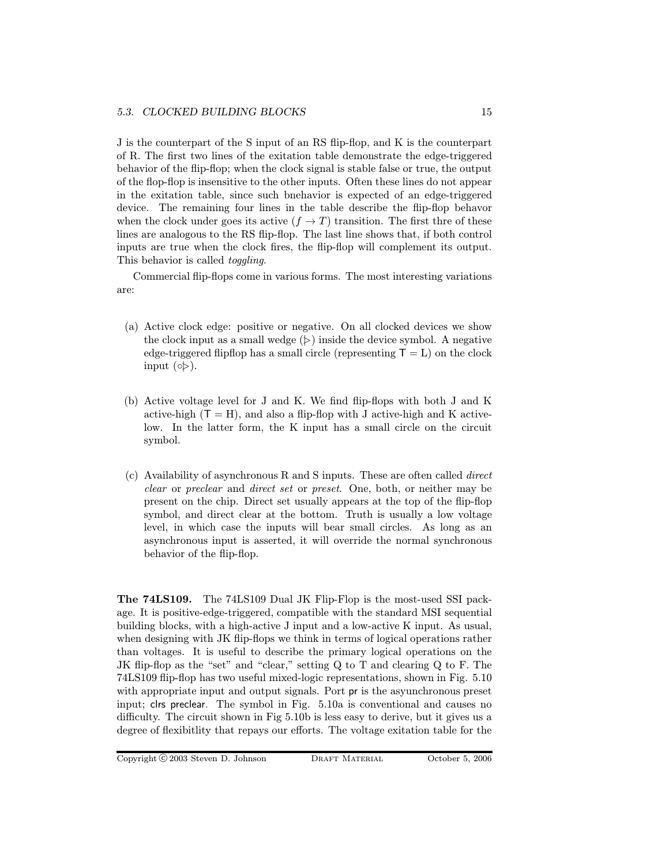J is the counterpart of the S input of an RS flip-flop, and K is the counterpart of R. The first two lines of the exitation table demonstrate the edge-triggered behavior of the flip-flop; when the clock signal is stable false or true, the output of the flop-flop is insensitive to the other inputs. Often these lines do not appear in the exitation table, since such bnehavior is expected of an edge-triggered device. The remaining four lines in the table describe the flip-flop behavor when the clock under goes its active  $(f \to T)$  transition. The first thre of these lines are analogous to the RS flip-flop. The last line shows that, if both control inputs are true when the clock fires, the flip-flop will complement its output. This behavior is called toggling.

Commercial flip-flops come in various forms. The most interesting variations are:

- (a) Active clock edge: positive or negative. On all clocked devices we show the clock input as a small wedge  $(\triangleright)$  inside the device symbol. A negative edge-triggered flipflop has a small circle (representing  $T = L$ ) on the clock input  $(\circ \triangleright)$ .
- (b) Active voltage level for J and K. We find flip-flops with both J and K active-high  $(T = H)$ , and also a flip-flop with J active-high and K activelow. In the latter form, the K input has a small circle on the circuit symbol.
- (c) Availability of asynchronous R and S inputs. These are often called direct clear or preclear and direct set or preset. One, both, or neither may be present on the chip. Direct set usually appears at the top of the flip-flop symbol, and direct clear at the bottom. Truth is usually a low voltage level, in which case the inputs will bear small circles. As long as an asynchronous input is asserted, it will override the normal synchronous behavior of the flip-flop.

The 74LS109. The 74LS109 Dual JK Flip-Flop is the most-used SSI package. It is positive-edge-triggered, compatible with the standard MSI sequential building blocks, with a high-active J input and a low-active K input. As usual, when designing with JK flip-flops we think in terms of logical operations rather than voltages. It is useful to describe the primary logical operations on the JK flip-flop as the "set" and "clear," setting Q to T and clearing Q to F. The 74LS109 flip-flop has two useful mixed-logic representations, shown in Fig. 5.10 with appropriate input and output signals. Port pr is the asyunchronous preset input; clrs preclear. The symbol in Fig. 5.10a is conventional and causes no difficulty. The circuit shown in Fig 5.10b is less easy to derive, but it gives us a degree of flexibitlity that repays our efforts. The voltage exitation table for the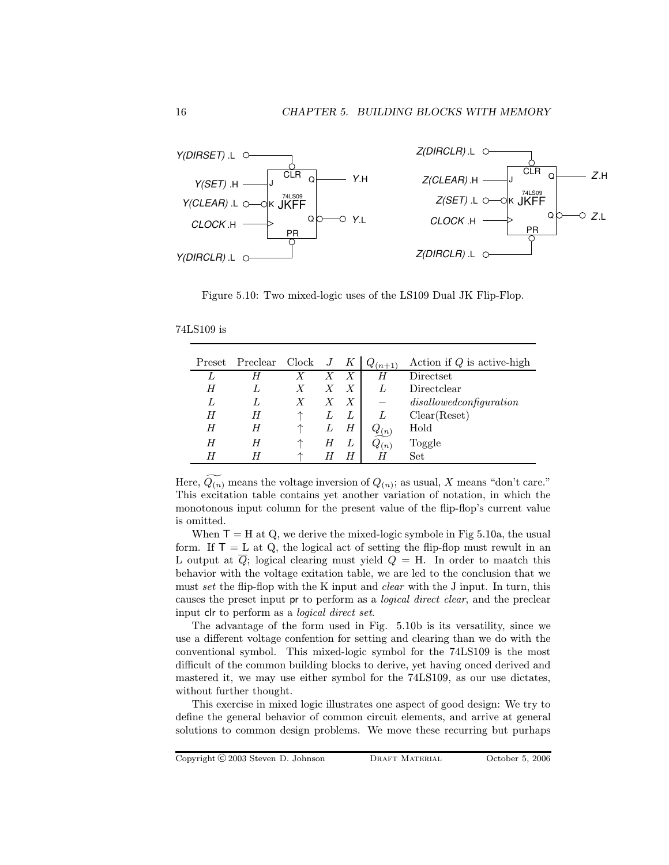

Figure 5.10: Two mixed-logic uses of the LS109 Dual JK Flip-Flop.

<sup>74</sup>LS109 is

| Preset | Preclear | $\rm{Clock}$ | J | K | $Q_{(n+1)}$ | Action if $Q$ is active-high |
|--------|----------|--------------|---|---|-------------|------------------------------|
|        | H        |              |   | X | Η           | Directset                    |
| Η      |          |              |   |   |             | Directclear                  |
|        |          |              |   |   |             | disallowedconfiguration      |
| Η      | H        |              |   |   |             | Clear(Reset)                 |
| Η      | H        |              |   | H | $Q_{(n)}$   | Hold                         |
| Η      | Η        |              | Н |   | $Q_{(n)}$   | Toggle                       |
| Н      | H        |              |   |   | Η           | Set.                         |

Here,  $\widetilde{Q_{(n)}}$  means the voltage inversion of  $Q_{(n)}$ ; as usual, X means "don't care." This excitation table contains yet another variation of notation, in which the monotonous input column for the present value of the flip-flop's current value is omitted.

When  $T = H$  at Q, we derive the mixed-logic symbole in Fig 5.10a, the usual form. If  $T = L$  at Q, the logical act of setting the flip-flop must rewult in an L output at  $\overline{Q}$ ; logical clearing must yield  $Q = H$ . In order to maatch this behavior with the voltage exitation table, we are led to the conclusion that we must set the flip-flop with the K input and *clear* with the J input. In turn, this causes the preset input pr to perform as a logical direct clear, and the preclear input clr to perform as a logical direct set.

The advantage of the form used in Fig. 5.10b is its versatility, since we use a different voltage confention for setting and clearing than we do with the conventional symbol. This mixed-logic symbol for the 74LS109 is the most difficult of the common building blocks to derive, yet having onced derived and mastered it, we may use either symbol for the 74LS109, as our use dictates, without further thought.

This exercise in mixed logic illustrates one aspect of good design: We try to define the general behavior of common circuit elements, and arrive at general solutions to common design problems. We move these recurring but purhaps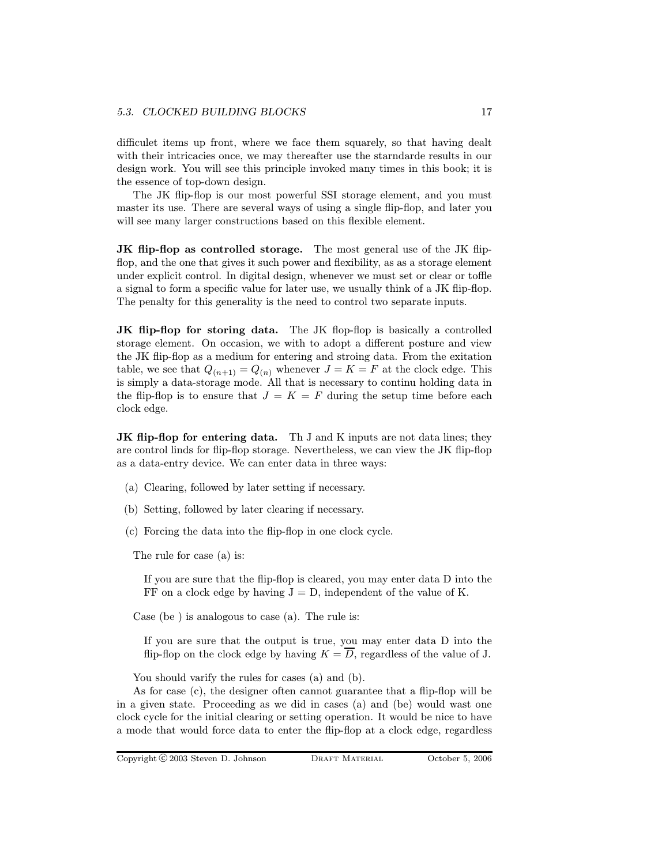difficulet items up front, where we face them squarely, so that having dealt with their intricacies once, we may thereafter use the starndarde results in our design work. You will see this principle invoked many times in this book; it is the essence of top-down design.

The JK flip-flop is our most powerful SSI storage element, and you must master its use. There are several ways of using a single flip-flop, and later you will see many larger constructions based on this flexible element.

JK flip-flop as controlled storage. The most general use of the JK flipflop, and the one that gives it such power and flexibility, as as a storage element under explicit control. In digital design, whenever we must set or clear or toffle a signal to form a specific value for later use, we usually think of a JK flip-flop. The penalty for this generality is the need to control two separate inputs.

JK flip-flop for storing data. The JK flop-flop is basically a controlled storage element. On occasion, we with to adopt a different posture and view the JK flip-flop as a medium for entering and stroing data. From the exitation table, we see that  $Q_{(n+1)} = Q_{(n)}$  whenever  $J = K = F$  at the clock edge. This is simply a data-storage mode. All that is necessary to continu holding data in the flip-flop is to ensure that  $J = K = F$  during the setup time before each clock edge.

JK flip-flop for entering data. Th J and K inputs are not data lines; they are control linds for flip-flop storage. Nevertheless, we can view the JK flip-flop as a data-entry device. We can enter data in three ways:

- (a) Clearing, followed by later setting if necessary.
- (b) Setting, followed by later clearing if necessary.
- (c) Forcing the data into the flip-flop in one clock cycle.

The rule for case (a) is:

If you are sure that the flip-flop is cleared, you may enter data D into the FF on a clock edge by having  $J = D$ , independent of the value of K.

Case (be ) is analogous to case (a). The rule is:

If you are sure that the output is true, you may enter data D into the flip-flop on the clock edge by having  $K = \overline{D}$ , regardless of the value of J.

You should varify the rules for cases (a) and (b).

As for case (c), the designer often cannot guarantee that a flip-flop will be in a given state. Proceeding as we did in cases (a) and (be) would wast one clock cycle for the initial clearing or setting operation. It would be nice to have a mode that would force data to enter the flip-flop at a clock edge, regardless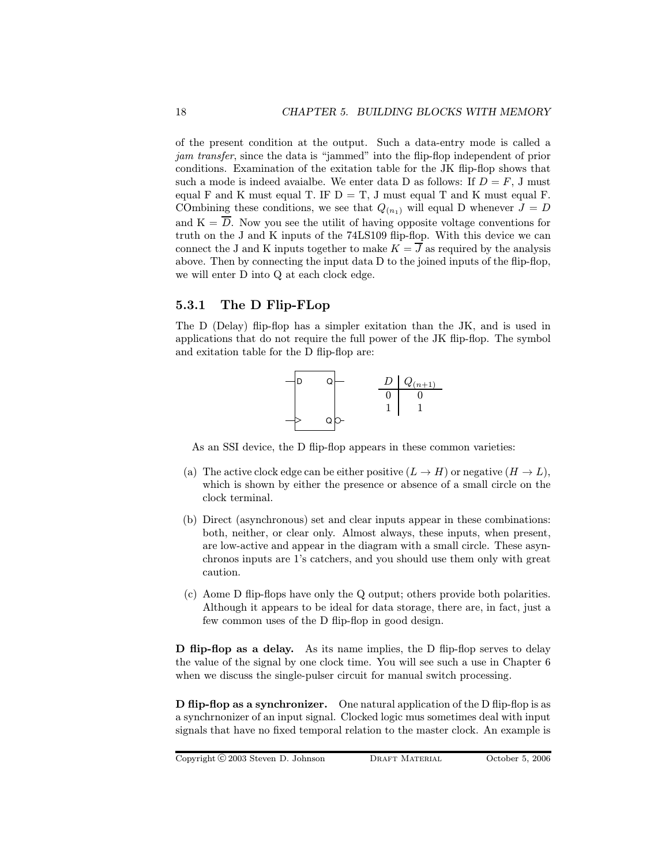of the present condition at the output. Such a data-entry mode is called a jam transfer, since the data is "jammed" into the flip-flop independent of prior conditions. Examination of the exitation table for the JK flip-flop shows that such a mode is indeed avaialbe. We enter data D as follows: If  $D = F$ , J must equal F and K must equal T. IF  $D = T$ , J must equal T and K must equal F. COmbining these conditions, we see that  $Q_{(n_1)}$  will equal D whenever  $J = D$ and  $K = \overline{D}$ . Now you see the utilit of having opposite voltage conventions for truth on the J and K inputs of the 74LS109 flip-flop. With this device we can connect the J and K inputs together to make  $K = \overline{J}$  as required by the analysis above. Then by connecting the input data D to the joined inputs of the flip-flop, we will enter D into Q at each clock edge.

#### 5.3.1 The D Flip-FLop

The D (Delay) flip-flop has a simpler exitation than the JK, and is used in applications that do not require the full power of the JK flip-flop. The symbol and exitation table for the D flip-flop are:



As an SSI device, the D flip-flop appears in these common varieties:

- (a) The active clock edge can be either positive  $(L \to H)$  or negative  $(H \to L)$ , which is shown by either the presence or absence of a small circle on the clock terminal.
- (b) Direct (asynchronous) set and clear inputs appear in these combinations: both, neither, or clear only. Almost always, these inputs, when present, are low-active and appear in the diagram with a small circle. These asynchronos inputs are 1's catchers, and you should use them only with great caution.
- (c) Aome D flip-flops have only the Q output; others provide both polarities. Although it appears to be ideal for data storage, there are, in fact, just a few common uses of the D flip-flop in good design.

D flip-flop as a delay. As its name implies, the D flip-flop serves to delay the value of the signal by one clock time. You will see such a use in Chapter 6 when we discuss the single-pulser circuit for manual switch processing.

D flip-flop as a synchronizer. One natural application of the D flip-flop is as a synchrnonizer of an input signal. Clocked logic mus sometimes deal with input signals that have no fixed temporal relation to the master clock. An example is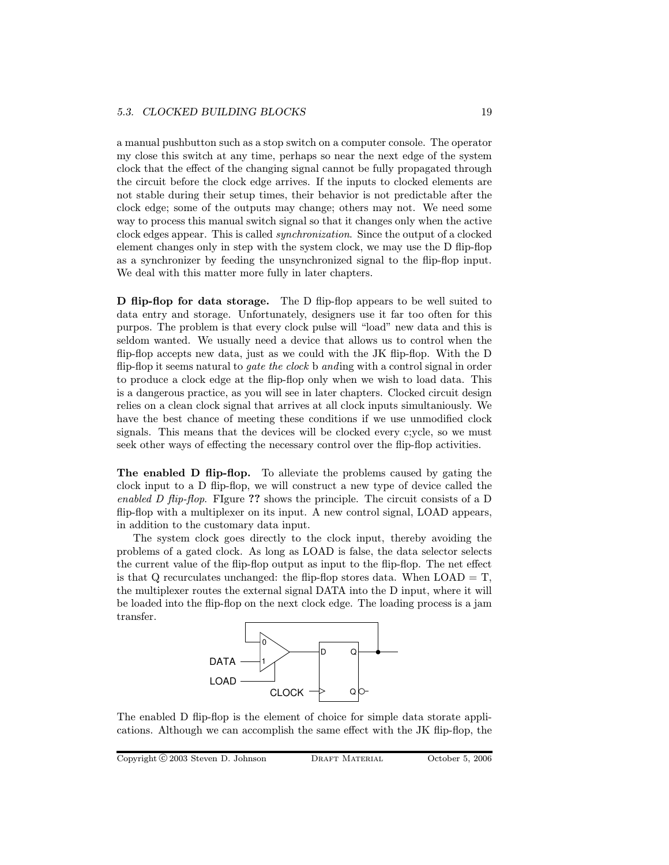a manual pushbutton such as a stop switch on a computer console. The operator my close this switch at any time, perhaps so near the next edge of the system clock that the effect of the changing signal cannot be fully propagated through the circuit before the clock edge arrives. If the inputs to clocked elements are not stable during their setup times, their behavior is not predictable after the clock edge; some of the outputs may change; others may not. We need some way to process this manual switch signal so that it changes only when the active clock edges appear. This is called synchronization. Since the output of a clocked element changes only in step with the system clock, we may use the D flip-flop as a synchronizer by feeding the unsynchronized signal to the flip-flop input. We deal with this matter more fully in later chapters.

D flip-flop for data storage. The D flip-flop appears to be well suited to data entry and storage. Unfortunately, designers use it far too often for this purpos. The problem is that every clock pulse will "load" new data and this is seldom wanted. We usually need a device that allows us to control when the flip-flop accepts new data, just as we could with the JK flip-flop. With the D flip-flop it seems natural to *gate the clock* b anding with a control signal in order to produce a clock edge at the flip-flop only when we wish to load data. This is a dangerous practice, as you will see in later chapters. Clocked circuit design relies on a clean clock signal that arrives at all clock inputs simultaniously. We have the best chance of meeting these conditions if we use unmodified clock signals. This means that the devices will be clocked every c;ycle, so we must seek other ways of effecting the necessary control over the flip-flop activities.

The enabled D flip-flop. To alleviate the problems caused by gating the clock input to a D flip-flop, we will construct a new type of device called the enabled D flip-flop. Figure ?? shows the principle. The circuit consists of a D flip-flop with a multiplexer on its input. A new control signal, LOAD appears, in addition to the customary data input.

The system clock goes directly to the clock input, thereby avoiding the problems of a gated clock. As long as LOAD is false, the data selector selects the current value of the flip-flop output as input to the flip-flop. The net effect is that  $Q$  recurculates unchanged: the flip-flop stores data. When  $LOAD = T$ , the multiplexer routes the external signal DATA into the D input, where it will be loaded into the flip-flop on the next clock edge. The loading process is a jam transfer.



The enabled D flip-flop is the element of choice for simple data storate applications. Although we can accomplish the same effect with the JK flip-flop, the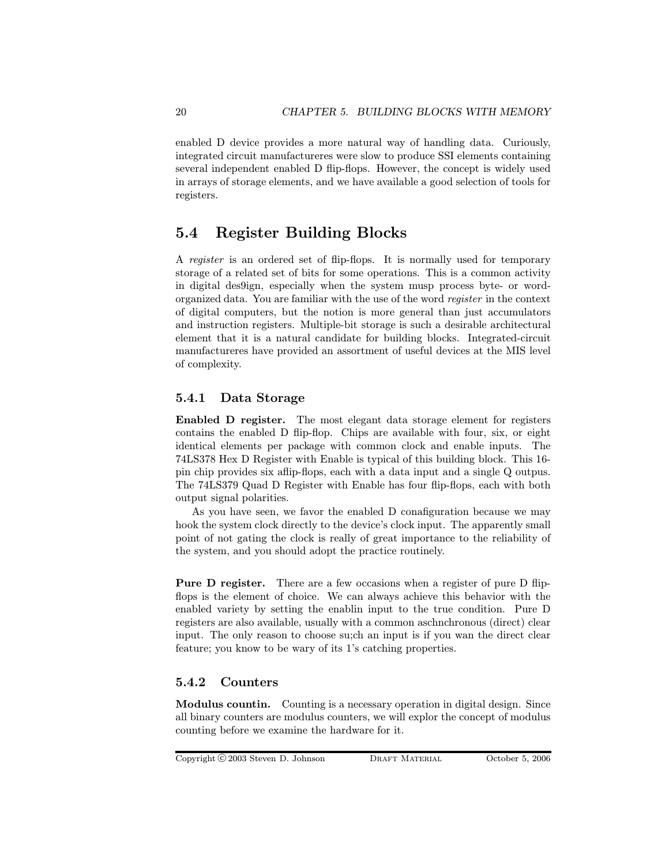enabled D device provides a more natural way of handling data. Curiously, integrated circuit manufactureres were slow to produce SSI elements containing several independent enabled D flip-flops. However, the concept is widely used in arrays of storage elements, and we have available a good selection of tools for registers.

## 5.4 Register Building Blocks

A register is an ordered set of flip-flops. It is normally used for temporary storage of a related set of bits for some operations. This is a common activity in digital des9ign, especially when the system musp process byte- or wordorganized data. You are familiar with the use of the word register in the context of digital computers, but the notion is more general than just accumulators and instruction registers. Multiple-bit storage is such a desirable architectural element that it is a natural candidate for building blocks. Integrated-circuit manufactureres have provided an assortment of useful devices at the MIS level of complexity.

#### 5.4.1 Data Storage

Enabled D register. The most elegant data storage element for registers contains the enabled D flip-flop. Chips are available with four, six, or eight identical elements per package with common clock and enable inputs. The 74LS378 Hex D Register with Enable is typical of this building block. This 16 pin chip provides six aflip-flops, each with a data input and a single Q outpus. The 74LS379 Quad D Register with Enable has four flip-flops, each with both output signal polarities.

As you have seen, we favor the enabled D conafiguration because we may hook the system clock directly to the device's clock input. The apparently small point of not gating the clock is really of great importance to the reliability of the system, and you should adopt the practice routinely.

Pure D register. There are a few occasions when a register of pure D flipflops is the element of choice. We can always achieve this behavior with the enabled variety by setting the enablin input to the true condition. Pure D registers are also available, usually with a common aschnchronous (direct) clear input. The only reason to choose su;ch an input is if you wan the direct clear feature; you know to be wary of its 1's catching properties.

#### 5.4.2 Counters

Modulus countin. Counting is a necessary operation in digital design. Since all binary counters are modulus counters, we will explor the concept of modulus counting before we examine the hardware for it.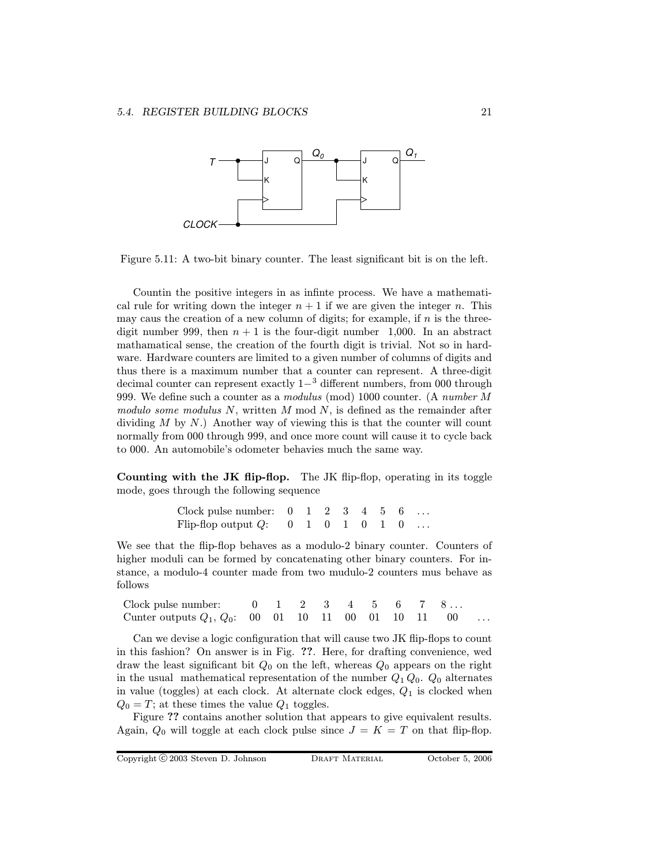

Figure 5.11: A two-bit binary counter. The least significant bit is on the left.

Countin the positive integers in as infinte process. We have a mathematical rule for writing down the integer  $n + 1$  if we are given the integer n. This may caus the creation of a new column of digits; for example, if  $n$  is the threedigit number 999, then  $n + 1$  is the four-digit number 1,000. In an abstract mathamatical sense, the creation of the fourth digit is trivial. Not so in hardware. Hardware counters are limited to a given number of columns of digits and thus there is a maximum number that a counter can represent. A three-digit decimal counter can represent exactly  $1-\frac{3}{3}$  different numbers, from 000 through 999. We define such a counter as a modulus (mod) 1000 counter. (A number M modulo some modulus  $N$ , written  $M$  mod  $N$ , is defined as the remainder after dividing  $M$  by  $N$ .) Another way of viewing this is that the counter will count normally from 000 through 999, and once more count will cause it to cycle back to 000. An automobile's odometer behavies much the same way.

Counting with the JK flip-flop. The JK flip-flop, operating in its toggle mode, goes through the following sequence

> Clock pulse number:  $0 \quad 1 \quad 2 \quad 3 \quad 4 \quad 5 \quad 6 \quad \ldots$ Flip-flop output  $Q: \{0, 1, 0, 1, 0, 1, 0, \ldots\}$

We see that the flip-flop behaves as a modulo-2 binary counter. Counters of higher moduli can be formed by concatenating other binary counters. For instance, a modulo-4 counter made from two mudulo-2 counters mus behave as follows

| Clock pulse number: $0 \t 1 \t 2 \t 3 \t 4 \t 5 \t 6 \t 7 \t 8 \ldots$ |  |  |  |  |  |
|------------------------------------------------------------------------|--|--|--|--|--|
| Cunter outputs $Q_1, Q_0$ : 00 01 10 11 00 01 10 11 00                 |  |  |  |  |  |

Can we devise a logic configuration that will cause two JK flip-flops to count in this fashion? On answer is in Fig. ??. Here, for drafting convenience, wed draw the least significant bit  $Q_0$  on the left, whereas  $Q_0$  appears on the right in the usual mathematical representation of the number  $Q_1 Q_0$ .  $Q_0$  alternates in value (toggles) at each clock. At alternate clock edges,  $Q_1$  is clocked when  $Q_0 = T$ ; at these times the value  $Q_1$  toggles.

Figure ?? contains another solution that appears to give equivalent results. Again,  $Q_0$  will toggle at each clock pulse since  $J = K = T$  on that flip-flop.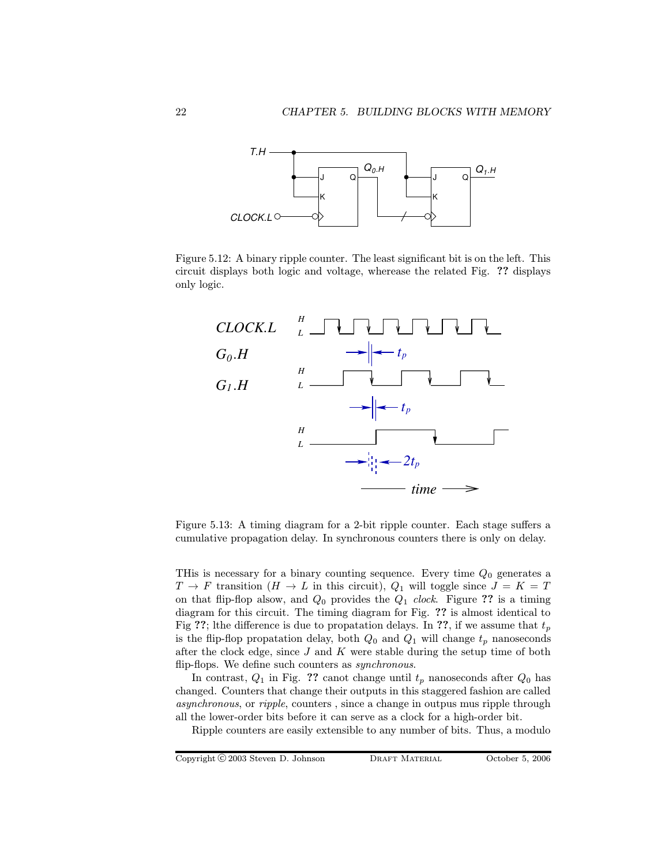

Figure 5.12: A binary ripple counter. The least significant bit is on the left. This circuit displays both logic and voltage, wherease the related Fig. ?? displays only logic.



Figure 5.13: A timing diagram for a 2-bit ripple counter. Each stage suffers a cumulative propagation delay. In synchronous counters there is only on delay.

THis is necessary for a binary counting sequence. Every time  $Q_0$  generates a  $T \to F$  transition  $(H \to L$  in this circuit),  $Q_1$  will toggle since  $J = K = T$ on that flip-flop alsow, and  $Q_0$  provides the  $Q_1$  clock. Figure ?? is a timing diagram for this circuit. The timing diagram for Fig. ?? is almost identical to Fig ??; lthe difference is due to propatation delays. In ??, if we assume that  $t_p$ is the flip-flop propatation delay, both  $Q_0$  and  $Q_1$  will change  $t_p$  nanoseconds after the clock edge, since  $J$  and  $K$  were stable during the setup time of both flip-flops. We define such counters as *synchronous*.

In contrast,  $Q_1$  in Fig. ?? canot change until  $t_p$  nanoseconds after  $Q_0$  has changed. Counters that change their outputs in this staggered fashion are called asynchronous, or ripple, counters , since a change in outpus mus ripple through all the lower-order bits before it can serve as a clock for a high-order bit.

Ripple counters are easily extensible to any number of bits. Thus, a modulo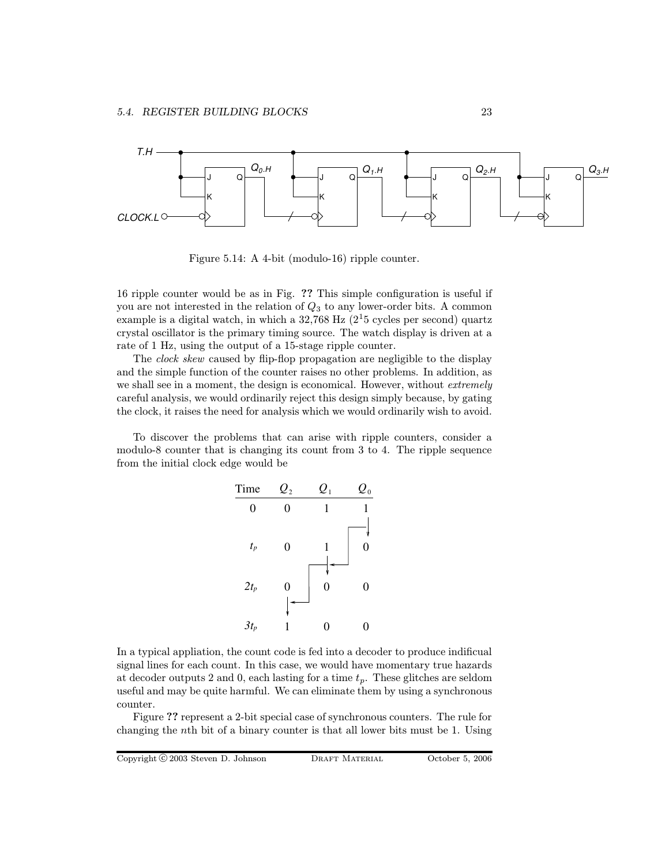

Figure 5.14: A 4-bit (modulo-16) ripple counter.

16 ripple counter would be as in Fig. ?? This simple configuration is useful if you are not interested in the relation of  $Q_3$  to any lower-order bits. A common example is a digital watch, in which a  $32,768$  Hz ( $2^{15}$  cycles per second) quartz crystal oscillator is the primary timing source. The watch display is driven at a rate of 1 Hz, using the output of a 15-stage ripple counter.

The *clock skew* caused by flip-flop propagation are negligible to the display and the simple function of the counter raises no other problems. In addition, as we shall see in a moment, the design is economical. However, without *extremely* careful analysis, we would ordinarily reject this design simply because, by gating the clock, it raises the need for analysis which we would ordinarily wish to avoid.

To discover the problems that can arise with ripple counters, consider a modulo-8 counter that is changing its count from 3 to 4. The ripple sequence from the initial clock edge would be



In a typical appliation, the count code is fed into a decoder to produce indificual signal lines for each count. In this case, we would have momentary true hazards at decoder outputs 2 and 0, each lasting for a time  $t_p$ . These glitches are seldom useful and may be quite harmful. We can eliminate them by using a synchronous counter.

Figure ?? represent a 2-bit special case of synchronous counters. The rule for changing the nth bit of a binary counter is that all lower bits must be 1. Using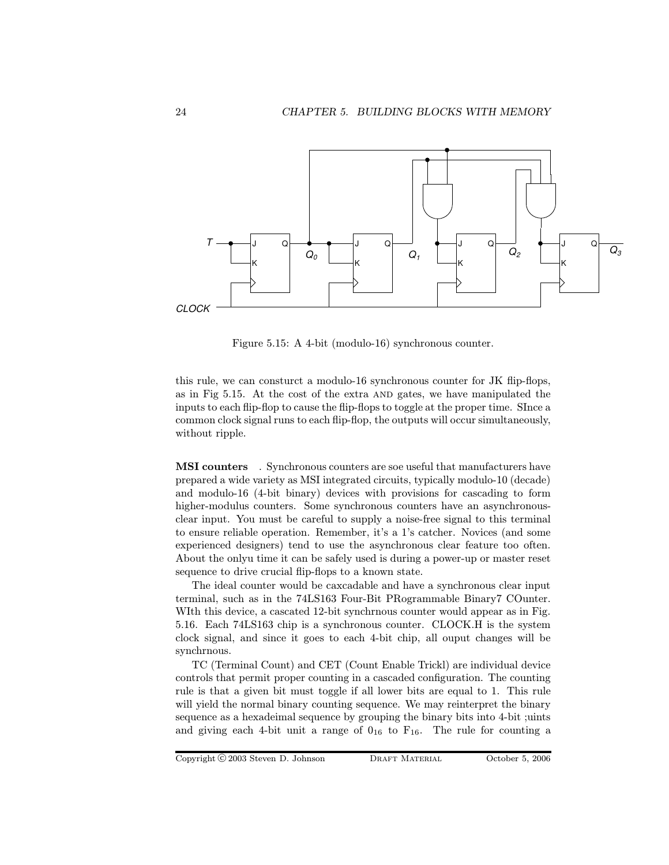

Figure 5.15: A 4-bit (modulo-16) synchronous counter.

this rule, we can consturct a modulo-16 synchronous counter for JK flip-flops, as in Fig 5.15. At the cost of the extra and gates, we have manipulated the inputs to each flip-flop to cause the flip-flops to toggle at the proper time. SInce a common clock signal runs to each flip-flop, the outputs will occur simultaneously, without ripple.

MSI counters . Synchronous counters are soe useful that manufacturers have prepared a wide variety as MSI integrated circuits, typically modulo-10 (decade) and modulo-16 (4-bit binary) devices with provisions for cascading to form higher-modulus counters. Some synchronous counters have an asynchronousclear input. You must be careful to supply a noise-free signal to this terminal to ensure reliable operation. Remember, it's a 1's catcher. Novices (and some experienced designers) tend to use the asynchronous clear feature too often. About the onlyu time it can be safely used is during a power-up or master reset sequence to drive crucial flip-flops to a known state.

The ideal counter would be caxcadable and have a synchronous clear input terminal, such as in the 74LS163 Four-Bit PRogrammable Binary7 COunter. WIth this device, a cascated 12-bit synchrnous counter would appear as in Fig. 5.16. Each 74LS163 chip is a synchronous counter. CLOCK.H is the system clock signal, and since it goes to each 4-bit chip, all ouput changes will be synchrnous.

TC (Terminal Count) and CET (Count Enable Trickl) are individual device controls that permit proper counting in a cascaded configuration. The counting rule is that a given bit must toggle if all lower bits are equal to 1. This rule will yield the normal binary counting sequence. We may reinterpret the binary sequence as a hexadeimal sequence by grouping the binary bits into 4-bit ;uints and giving each 4-bit unit a range of  $0_{16}$  to  $F_{16}$ . The rule for counting a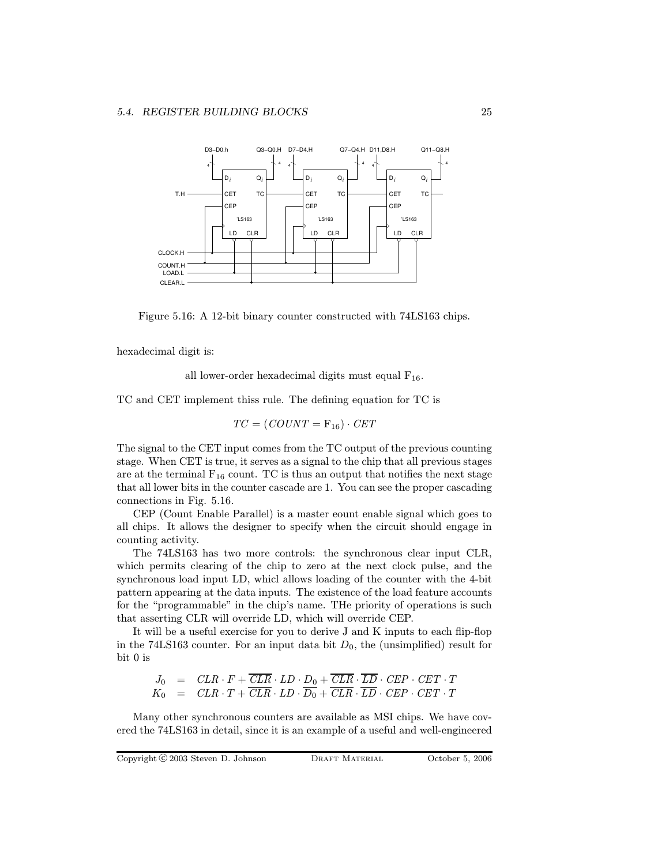

Figure 5.16: A 12-bit binary counter constructed with 74LS163 chips.

hexadecimal digit is:

all lower-order hexadecimal digits must equal  $F_{16}$ .

TC and CET implement thiss rule. The defining equation for TC is

$$
TC = (COUNT = F_{16}) \cdot CET
$$

The signal to the CET input comes from the TC output of the previous counting stage. When CET is true, it serves as a signal to the chip that all previous stages are at the terminal  $F_{16}$  count. TC is thus an output that notifies the next stage that all lower bits in the counter cascade are 1. You can see the proper cascading connections in Fig. 5.16.

CEP (Count Enable Parallel) is a master eount enable signal which goes to all chips. It allows the designer to specify when the circuit should engage in counting activity.

The 74LS163 has two more controls: the synchronous clear input CLR, which permits clearing of the chip to zero at the next clock pulse, and the synchronous load input LD, whicl allows loading of the counter with the 4-bit pattern appearing at the data inputs. The existence of the load feature accounts for the "programmable" in the chip's name. THe priority of operations is such that asserting CLR will override LD, which will override CEP.

It will be a useful exercise for you to derive J and K inputs to each flip-flop in the 74LS163 counter. For an input data bit  $D_0$ , the (unsimplified) result for bit 0 is

$$
J_0 = CLR \cdot F + \overline{CLR} \cdot LD \cdot D_0 + \overline{CLR} \cdot \overline{LD} \cdot CEP \cdot CET \cdot T
$$
  

$$
K_0 = CLR \cdot T + \overline{CLR} \cdot LD \cdot \overline{D_0} + \overline{CLR} \cdot \overline{LD} \cdot CEP \cdot CET \cdot T
$$

Many other synchronous counters are available as MSI chips. We have covered the 74LS163 in detail, since it is an example of a useful and well-engineered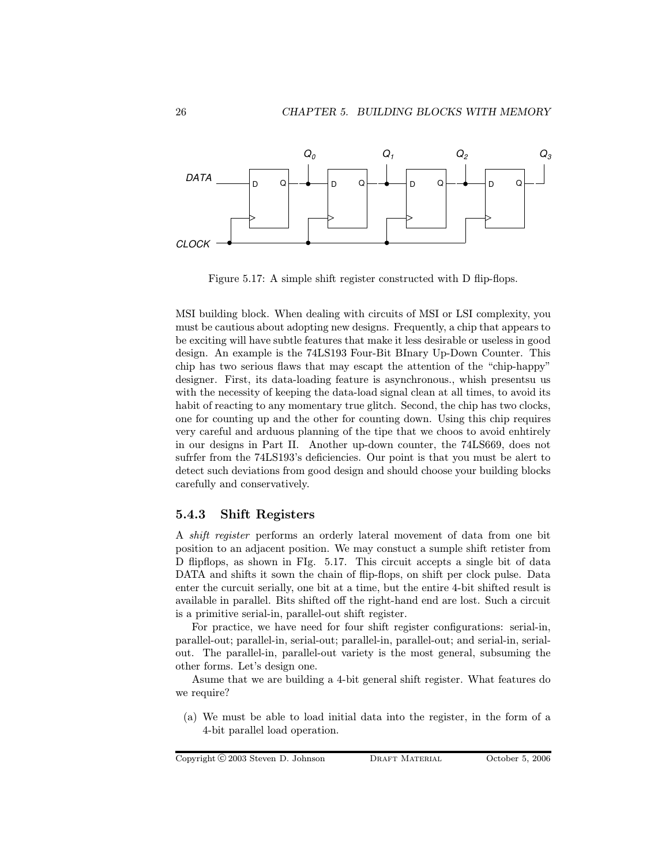

Figure 5.17: A simple shift register constructed with D flip-flops.

MSI building block. When dealing with circuits of MSI or LSI complexity, you must be cautious about adopting new designs. Frequently, a chip that appears to be exciting will have subtle features that make it less desirable or useless in good design. An example is the 74LS193 Four-Bit BInary Up-Down Counter. This chip has two serious flaws that may escapt the attention of the "chip-happy" designer. First, its data-loading feature is asynchronous., whish presentsu us with the necessity of keeping the data-load signal clean at all times, to avoid its habit of reacting to any momentary true glitch. Second, the chip has two clocks, one for counting up and the other for counting down. Using this chip requires very careful and arduous planning of the tipe that we choos to avoid enhtirely in our designs in Part II. Another up-down counter, the 74LS669, does not sufrfer from the 74LS193's deficiencies. Our point is that you must be alert to detect such deviations from good design and should choose your building blocks carefully and conservatively.

#### 5.4.3 Shift Registers

A shift register performs an orderly lateral movement of data from one bit position to an adjacent position. We may constuct a sumple shift retister from D flipflops, as shown in FIg. 5.17. This circuit accepts a single bit of data DATA and shifts it sown the chain of flip-flops, on shift per clock pulse. Data enter the curcuit serially, one bit at a time, but the entire 4-bit shifted result is available in parallel. Bits shifted off the right-hand end are lost. Such a circuit is a primitive serial-in, parallel-out shift register.

For practice, we have need for four shift register configurations: serial-in, parallel-out; parallel-in, serial-out; parallel-in, parallel-out; and serial-in, serialout. The parallel-in, parallel-out variety is the most general, subsuming the other forms. Let's design one.

Asume that we are building a 4-bit general shift register. What features do we require?

(a) We must be able to load initial data into the register, in the form of a 4-bit parallel load operation.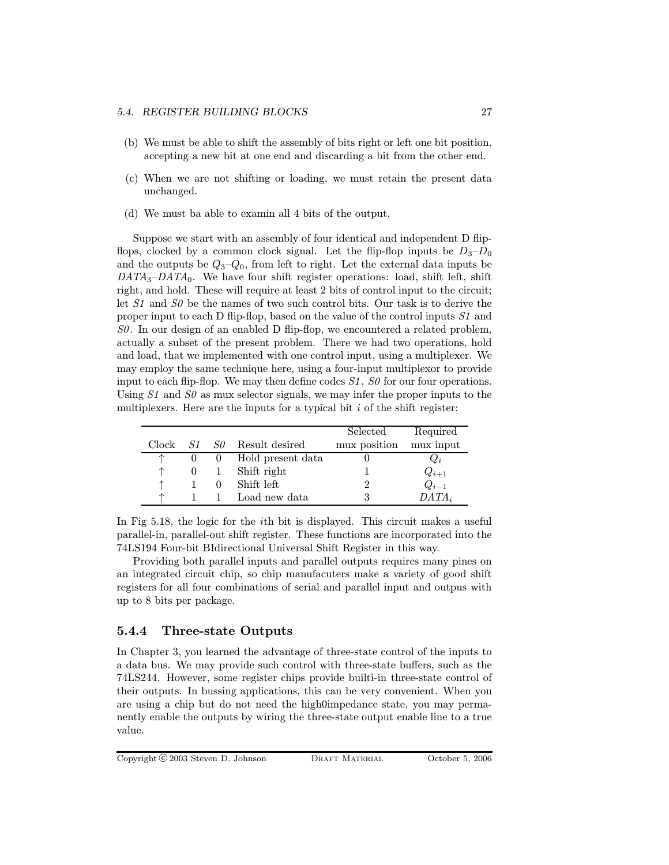- (b) We must be able to shift the assembly of bits right or left one bit position, accepting a new bit at one end and discarding a bit from the other end.
- (c) When we are not shifting or loading, we must retain the present data unchanged.
- (d) We must ba able to examin all 4 bits of the output.

Suppose we start with an assembly of four identical and independent D flipflops, clocked by a common clock signal. Let the flip-flop inputs be  $D_3-D_0$ and the outputs be  $Q_3-Q_0$ , from left to right. Let the external data inputs be  $DATA_{3}$ – $DATA_{0}$ . We have four shift register operations: load, shift left, shift right, and hold. These will require at least 2 bits of control input to the circuit; let S1 and S0 be the names of two such control bits. Our task is to derive the proper input to each D flip-flop, based on the value of the control inputs S1 and  $S0$ . In our design of an enabled D flip-flop, we encountered a related problem, actually a subset of the present problem. There we had two operations, hold and load, that we implemented with one control input, using a multiplexer. We may employ the same technique here, using a four-input multiplexor to provide input to each flip-flop. We may then define codes  $S1$ ,  $S0$  for our four operations. Using  $S_1$  and  $S_0$  as mux selector signals, we may infer the proper inputs to the multiplexers. Here are the inputs for a typical bit  $i$  of the shift register:

|       |  |                      | Selected     | Required  |
|-------|--|----------------------|--------------|-----------|
| Clock |  | S1 S0 Result desired | mux position | mux input |
| ᠰ     |  | Hold present data    |              | $Q_i$     |
| ↑     |  | Shift right          |              | $Q_{i+1}$ |
|       |  | Shift left           |              | $Q_{i-1}$ |
| ᠰ     |  | Load new data        |              | $DATA_i$  |

In Fig 5.18, the logic for the ith bit is displayed. This circuit makes a useful parallel-in, parallel-out shift register. These functions are incorporated into the 74LS194 Four-bit BIdirectional Universal Shift Register in this way.

Providing both parallel inputs and parallel outputs requires many pines on an integrated circuit chip, so chip manufacuters make a variety of good shift registers for all four combinations of serial and parallel input and outpus with up to 8 bits per package.

#### 5.4.4 Three-state Outputs

In Chapter 3, you learned the advantage of three-state control of the inputs to a data bus. We may provide such control with three-state buffers, such as the 74LS244. However, some register chips provide builti-in three-state control of their outputs. In bussing applications, this can be very convenient. When you are using a chip but do not need the high0impedance state, you may permanently enable the outputs by wiring the three-state output enable line to a true value.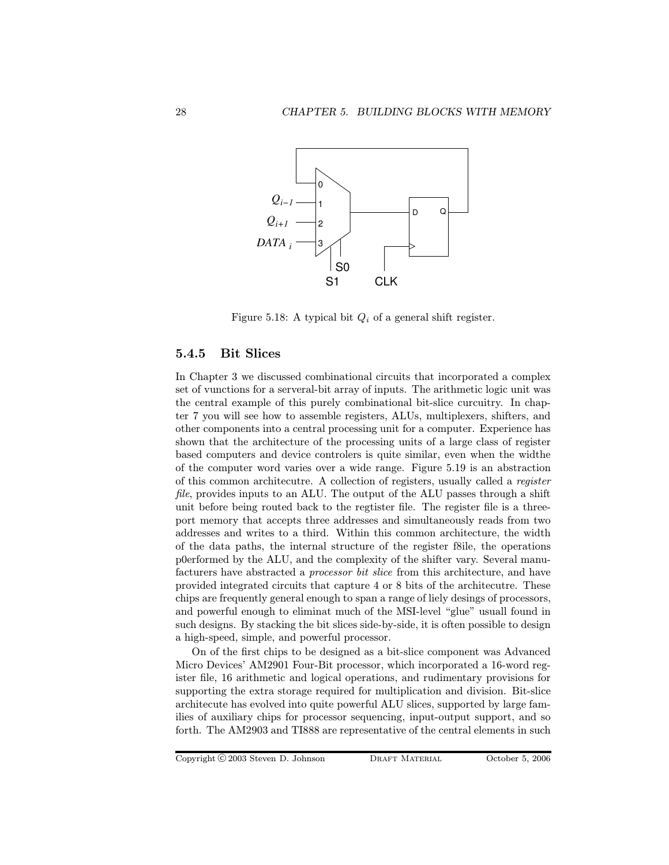

Figure 5.18: A typical bit  $Q_i$  of a general shift register.

#### 5.4.5 Bit Slices

In Chapter 3 we discussed combinational circuits that incorporated a complex set of vunctions for a serveral-bit array of inputs. The arithmetic logic unit was the central example of this purely combinational bit-slice curcuitry. In chapter 7 you will see how to assemble registers, ALUs, multiplexers, shifters, and other components into a central processing unit for a computer. Experience has shown that the architecture of the processing units of a large class of register based computers and device controlers is quite similar, even when the widthe of the computer word varies over a wide range. Figure 5.19 is an abstraction of this common architecutre. A collection of registers, usually called a register file, provides inputs to an ALU. The output of the ALU passes through a shift unit before being routed back to the regtister file. The register file is a threeport memory that accepts three addresses and simultaneously reads from two addresses and writes to a third. Within this common architecture, the width of the data paths, the internal structure of the register f8ile, the operations p0erformed by the ALU, and the complexity of the shifter vary. Several manufacturers have abstracted a processor bit slice from this architecture, and have provided integrated circuits that capture 4 or 8 bits of the architecutre. These chips are frequently general enough to span a range of liely desings of processors, and powerful enough to eliminat much of the MSI-level "glue" usuall found in such designs. By stacking the bit slices side-by-side, it is often possible to design a high-speed, simple, and powerful processor.

On of the first chips to be designed as a bit-slice component was Advanced Micro Devices' AM2901 Four-Bit processor, which incorporated a 16-word register file, 16 arithmetic and logical operations, and rudimentary provisions for supporting the extra storage required for multiplication and division. Bit-slice architecute has evolved into quite powerful ALU slices, supported by large families of auxiliary chips for processor sequencing, input-output support, and so forth. The AM2903 and TI888 are representative of the central elements in such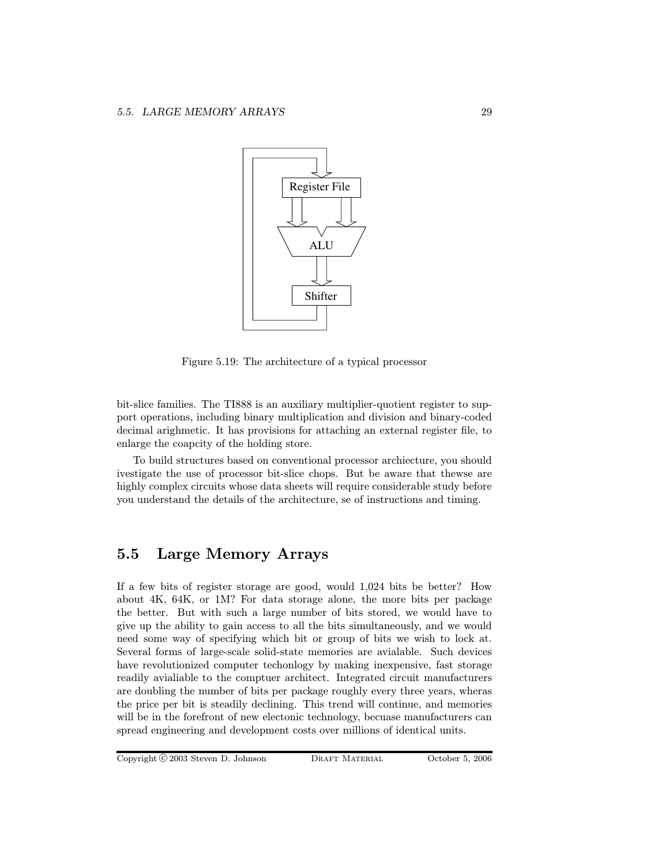

Figure 5.19: The architecture of a typical processor

bit-slice families. The TI888 is an auxiliary multiplier-quotient register to support operations, including binary multiplication and division and binary-coded decimal arighmetic. It has provisions for attaching an external register file, to enlarge the coapcity of the holding store.

To build structures based on conventional processor archiecture, you should ivestigate the use of processor bit-slice chops. But be aware that thewse are highly complex circuits whose data sheets will require considerable study before you understand the details of the architecture, se of instructions and timing.

## 5.5 Large Memory Arrays

If a few bits of register storage are good, would 1,024 bits be better? How about 4K, 64K, or 1M? For data storage alone, the more bits per package the better. But with such a large number of bits stored, we would have to give up the ability to gain access to all the bits simultaneously, and we would need some way of specifying which bit or group of bits we wish to lock at. Several forms of large-scale solid-state memories are avialable. Such devices have revolutionized computer techonlogy by making inexpensive, fast storage readily avialiable to the comptuer architect. Integrated circuit manufacturers are doubling the number of bits per package roughly every three years, wheras the price per bit is steadily declining. This trend will continue, and memories will be in the forefront of new electonic technology, becuase manufacturers can spread engineering and development costs over millions of identical units.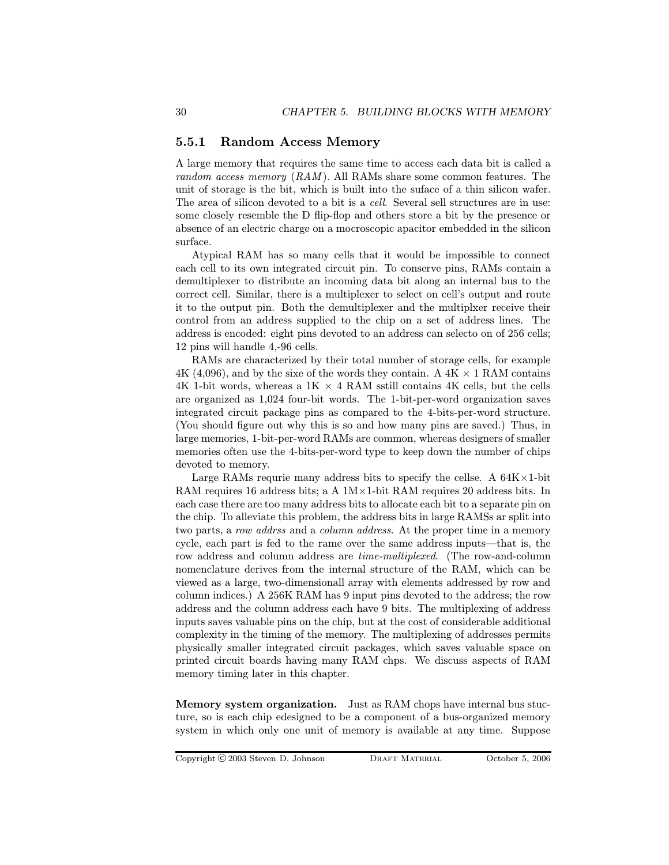#### 5.5.1 Random Access Memory

A large memory that requires the same time to access each data bit is called a random access memory  $(RAM)$ . All RAMs share some common features. The unit of storage is the bit, which is built into the suface of a thin silicon wafer. The area of silicon devoted to a bit is a cell. Several sell structures are in use: some closely resemble the D flip-flop and others store a bit by the presence or absence of an electric charge on a mocroscopic apacitor embedded in the silicon surface.

Atypical RAM has so many cells that it would be impossible to connect each cell to its own integrated circuit pin. To conserve pins, RAMs contain a demultiplexer to distribute an incoming data bit along an internal bus to the correct cell. Similar, there is a multiplexer to select on cell's output and route it to the output pin. Both the demultiplexer and the multiplxer receive their control from an address supplied to the chip on a set of address lines. The address is encoded: eight pins devoted to an address can selecto on of 256 cells; 12 pins will handle 4,-96 cells.

RAMs are characterized by their total number of storage cells, for example  $4K$  (4,096), and by the sixe of the words they contain. A  $4K \times 1$  RAM contains 4K 1-bit words, whereas a  $1K \times 4$  RAM sstill contains 4K cells, but the cells are organized as 1,024 four-bit words. The 1-bit-per-word organization saves integrated circuit package pins as compared to the 4-bits-per-word structure. (You should figure out why this is so and how many pins are saved.) Thus, in large memories, 1-bit-per-word RAMs are common, whereas designers of smaller memories often use the 4-bits-per-word type to keep down the number of chips devoted to memory.

Large RAMs requrie many address bits to specify the cellse. A  $64K \times 1$ -bit RAM requires 16 address bits; a A 1M×1-bit RAM requires 20 address bits. In each case there are too many address bits to allocate each bit to a separate pin on the chip. To alleviate this problem, the address bits in large RAMSs ar split into two parts, a row address and a column address. At the proper time in a memory cycle, each part is fed to the rame over the same address inputs—that is, the row address and column address are time-multiplexed. (The row-and-column nomenclature derives from the internal structure of the RAM, which can be viewed as a large, two-dimensionall array with elements addressed by row and column indices.) A 256K RAM has 9 input pins devoted to the address; the row address and the column address each have 9 bits. The multiplexing of address inputs saves valuable pins on the chip, but at the cost of considerable additional complexity in the timing of the memory. The multiplexing of addresses permits physically smaller integrated circuit packages, which saves valuable space on printed circuit boards having many RAM chps. We discuss aspects of RAM memory timing later in this chapter.

Memory system organization. Just as RAM chops have internal bus stucture, so is each chip edesigned to be a component of a bus-organized memory system in which only one unit of memory is available at any time. Suppose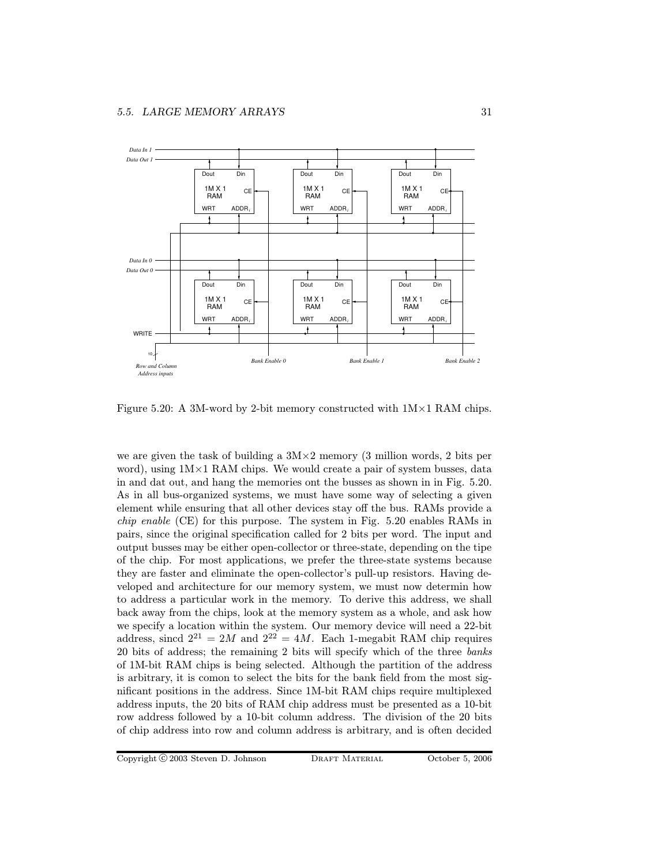

Figure 5.20: A 3M-word by 2-bit memory constructed with 1M×1 RAM chips.

we are given the task of building a  $3M \times 2$  memory (3 million words, 2 bits per word), using  $1M\times1$  RAM chips. We would create a pair of system busses, data in and dat out, and hang the memories ont the busses as shown in in Fig. 5.20. As in all bus-organized systems, we must have some way of selecting a given element while ensuring that all other devices stay off the bus. RAMs provide a chip enable (CE) for this purpose. The system in Fig. 5.20 enables RAMs in pairs, since the original specification called for 2 bits per word. The input and output busses may be either open-collector or three-state, depending on the tipe of the chip. For most applications, we prefer the three-state systems because they are faster and eliminate the open-collector's pull-up resistors. Having developed and architecture for our memory system, we must now determin how to address a particular work in the memory. To derive this address, we shall back away from the chips, look at the memory system as a whole, and ask how we specify a location within the system. Our memory device will need a 22-bit address, sincd  $2^{21} = 2M$  and  $2^{22} = 4M$ . Each 1-megabit RAM chip requires 20 bits of address; the remaining 2 bits will specify which of the three banks of 1M-bit RAM chips is being selected. Although the partition of the address is arbitrary, it is comon to select the bits for the bank field from the most significant positions in the address. Since 1M-bit RAM chips require multiplexed address inputs, the 20 bits of RAM chip address must be presented as a 10-bit row address followed by a 10-bit column address. The division of the 20 bits of chip address into row and column address is arbitrary, and is often decided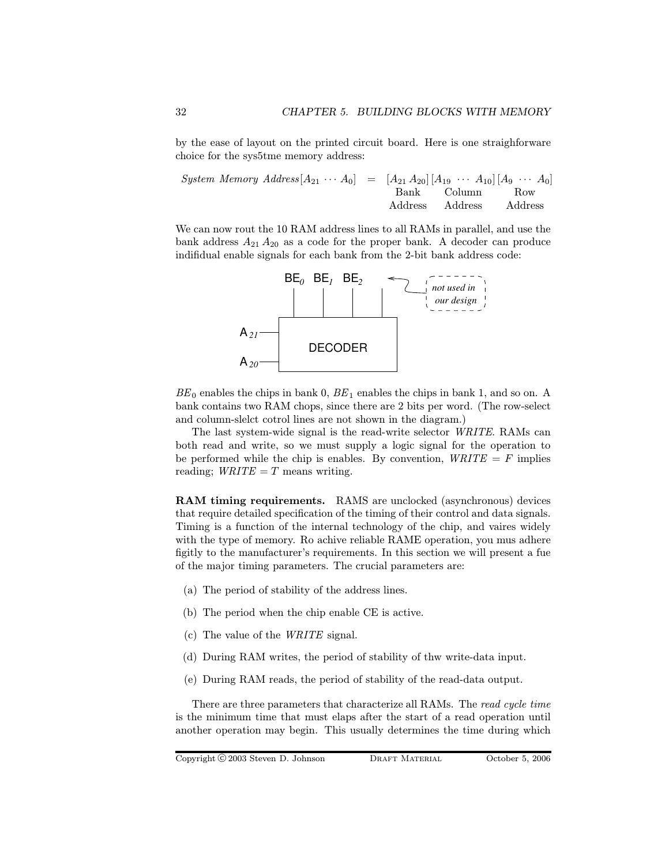by the ease of layout on the printed circuit board. Here is one straighforware choice for the sys5tme memory address:

|  | <i>System Memory Address</i> $[A_{21} \cdots A_0] = [A_{21} A_{20}] [A_{19} \cdots A_{10}] [A_9 \cdots A_0]$ |  |  |                         |  |
|--|--------------------------------------------------------------------------------------------------------------|--|--|-------------------------|--|
|  |                                                                                                              |  |  | Bank Column Row         |  |
|  |                                                                                                              |  |  | Address Address Address |  |

We can now rout the 10 RAM address lines to all RAMs in parallel, and use the bank address  $A_{21} A_{20}$  as a code for the proper bank. A decoder can produce indifidual enable signals for each bank from the 2-bit bank address code:



 $BE<sub>0</sub>$  enables the chips in bank 0,  $BE<sub>1</sub>$  enables the chips in bank 1, and so on. A bank contains two RAM chops, since there are 2 bits per word. (The row-select and column-slelct cotrol lines are not shown in the diagram.)

The last system-wide signal is the read-write selector WRITE. RAMs can both read and write, so we must supply a logic signal for the operation to be performed while the chip is enables. By convention,  $WRITE = F$  implies reading;  $WRITE = T$  means writing.

RAM timing requirements. RAMS are unclocked (asynchronous) devices that require detailed specification of the timing of their control and data signals. Timing is a function of the internal technology of the chip, and vaires widely with the type of memory. Ro achive reliable RAME operation, you mus adhere figitly to the manufacturer's requirements. In this section we will present a fue of the major timing parameters. The crucial parameters are:

- (a) The period of stability of the address lines.
- (b) The period when the chip enable CE is active.
- (c) The value of the WRITE signal.
- (d) During RAM writes, the period of stability of thw write-data input.
- (e) During RAM reads, the period of stability of the read-data output.

There are three parameters that characterize all RAMs. The read cycle time is the minimum time that must elaps after the start of a read operation until another operation may begin. This usually determines the time during which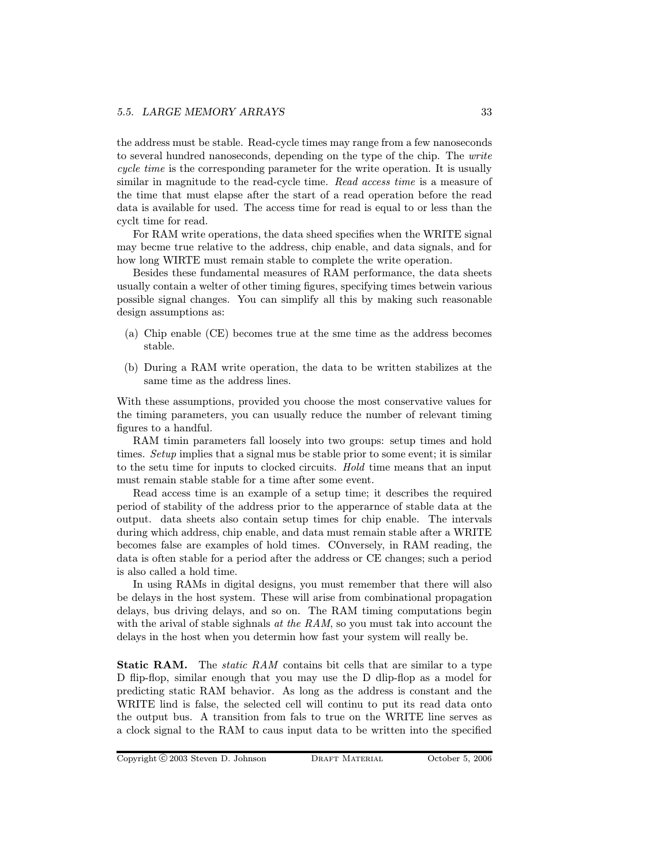the address must be stable. Read-cycle times may range from a few nanoseconds to several hundred nanoseconds, depending on the type of the chip. The write cycle time is the corresponding parameter for the write operation. It is usually similar in magnitude to the read-cycle time. Read access time is a measure of the time that must elapse after the start of a read operation before the read data is available for used. The access time for read is equal to or less than the cyclt time for read.

For RAM write operations, the data sheed specifies when the WRITE signal may becme true relative to the address, chip enable, and data signals, and for how long WIRTE must remain stable to complete the write operation.

Besides these fundamental measures of RAM performance, the data sheets usually contain a welter of other timing figures, specifying times betwein various possible signal changes. You can simplify all this by making such reasonable design assumptions as:

- (a) Chip enable (CE) becomes true at the sme time as the address becomes stable.
- (b) During a RAM write operation, the data to be written stabilizes at the same time as the address lines.

With these assumptions, provided you choose the most conservative values for the timing parameters, you can usually reduce the number of relevant timing figures to a handful.

RAM timin parameters fall loosely into two groups: setup times and hold times. Setup implies that a signal mus be stable prior to some event; it is similar to the setu time for inputs to clocked circuits. Hold time means that an input must remain stable stable for a time after some event.

Read access time is an example of a setup time; it describes the required period of stability of the address prior to the apperarnce of stable data at the output. data sheets also contain setup times for chip enable. The intervals during which address, chip enable, and data must remain stable after a WRITE becomes false are examples of hold times. COnversely, in RAM reading, the data is often stable for a period after the address or CE changes; such a period is also called a hold time.

In using RAMs in digital designs, you must remember that there will also be delays in the host system. These will arise from combinational propagation delays, bus driving delays, and so on. The RAM timing computations begin with the arival of stable sighnals at the RAM, so you must tak into account the delays in the host when you determin how fast your system will really be.

Static RAM. The *static RAM* contains bit cells that are similar to a type D flip-flop, similar enough that you may use the D dlip-flop as a model for predicting static RAM behavior. As long as the address is constant and the WRITE lind is false, the selected cell will continu to put its read data onto the output bus. A transition from fals to true on the WRITE line serves as a clock signal to the RAM to caus input data to be written into the specified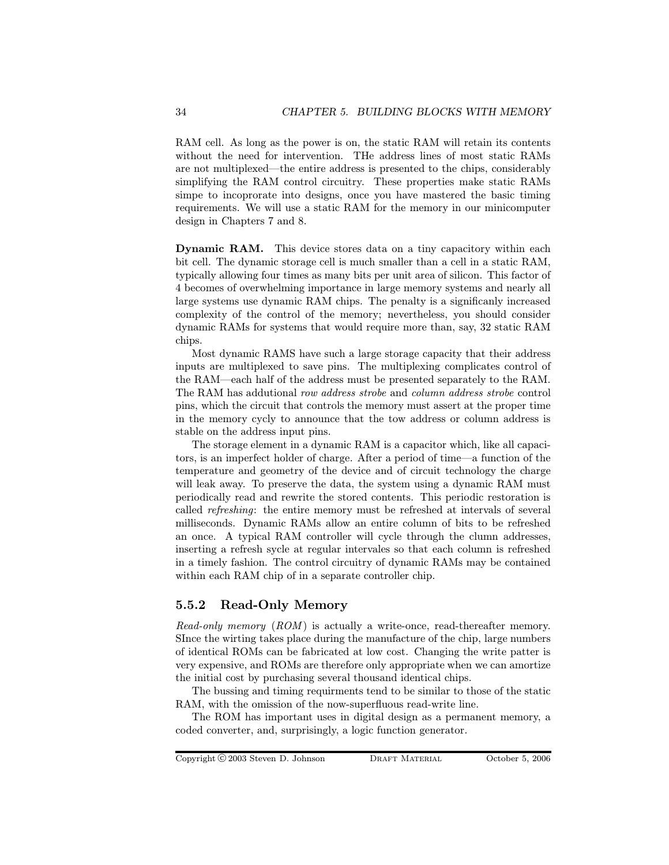RAM cell. As long as the power is on, the static RAM will retain its contents without the need for intervention. THe address lines of most static RAMs are not multiplexed—the entire address is presented to the chips, considerably simplifying the RAM control circuitry. These properties make static RAMs simpe to incoprorate into designs, once you have mastered the basic timing requirements. We will use a static RAM for the memory in our minicomputer design in Chapters 7 and 8.

Dynamic RAM. This device stores data on a tiny capacitory within each bit cell. The dynamic storage cell is much smaller than a cell in a static RAM, typically allowing four times as many bits per unit area of silicon. This factor of 4 becomes of overwhelming importance in large memory systems and nearly all large systems use dynamic RAM chips. The penalty is a significanly increased complexity of the control of the memory; nevertheless, you should consider dynamic RAMs for systems that would require more than, say, 32 static RAM chips.

Most dynamic RAMS have such a large storage capacity that their address inputs are multiplexed to save pins. The multiplexing complicates control of the RAM—each half of the address must be presented separately to the RAM. The RAM has addutional row address strobe and column address strobe control pins, which the circuit that controls the memory must assert at the proper time in the memory cycly to announce that the tow address or column address is stable on the address input pins.

The storage element in a dynamic RAM is a capacitor which, like all capacitors, is an imperfect holder of charge. After a period of time—a function of the temperature and geometry of the device and of circuit technology the charge will leak away. To preserve the data, the system using a dynamic RAM must periodically read and rewrite the stored contents. This periodic restoration is called refreshing: the entire memory must be refreshed at intervals of several milliseconds. Dynamic RAMs allow an entire column of bits to be refreshed an once. A typical RAM controller will cycle through the clumn addresses, inserting a refresh sycle at regular intervales so that each column is refreshed in a timely fashion. The control circuitry of dynamic RAMs may be contained within each RAM chip of in a separate controller chip.

#### 5.5.2 Read-Only Memory

Read-only memory  $(ROM)$  is actually a write-once, read-thereafter memory. SInce the wirting takes place during the manufacture of the chip, large numbers of identical ROMs can be fabricated at low cost. Changing the write patter is very expensive, and ROMs are therefore only appropriate when we can amortize the initial cost by purchasing several thousand identical chips.

The bussing and timing requirments tend to be similar to those of the static RAM, with the omission of the now-superfluous read-write line.

The ROM has important uses in digital design as a permanent memory, a coded converter, and, surprisingly, a logic function generator.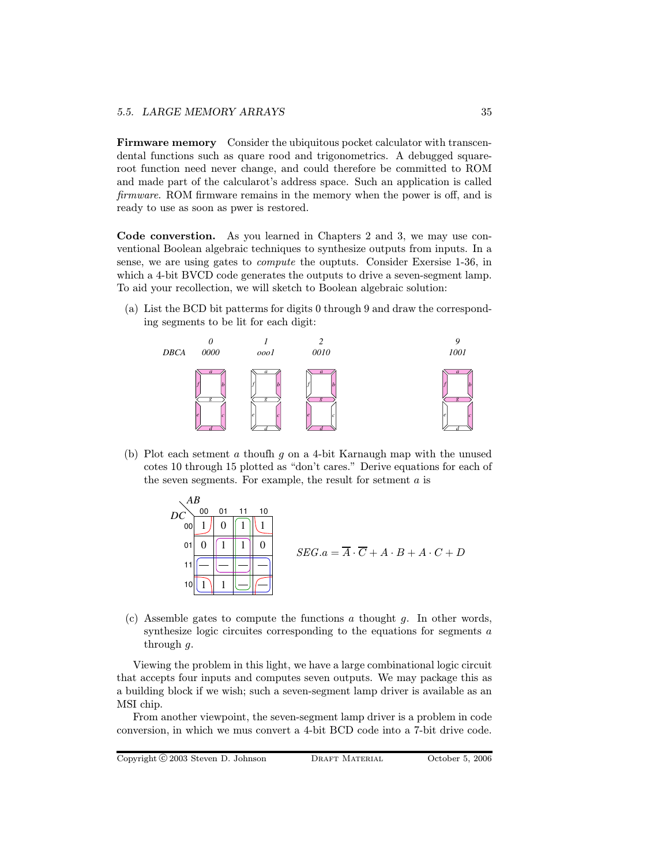Firmware memory Consider the ubiquitous pocket calculator with transcendental functions such as quare rood and trigonometrics. A debugged squareroot function need never change, and could therefore be committed to ROM and made part of the calcularot's address space. Such an application is called firmware. ROM firmware remains in the memory when the power is off, and is ready to use as soon as pwer is restored.

Code converstion. As you learned in Chapters 2 and 3, we may use conventional Boolean algebraic techniques to synthesize outputs from inputs. In a sense, we are using gates to compute the ouptuts. Consider Exersise 1-36, in which a 4-bit BVCD code generates the outputs to drive a seven-segment lamp. To aid your recollection, we will sketch to Boolean algebraic solution:

(a) List the BCD bit patterms for digits 0 through 9 and draw the corresponding segments to be lit for each digit:



(b) Plot each setment a thoufh g on a 4-bit Karnaugh map with the unused cotes 10 through 15 plotted as "don't cares." Derive equations for each of the seven segments. For example, the result for setment  $a$  is



(c) Assemble gates to compute the functions  $a$  thought  $g$ . In other words, synthesize logic circuites corresponding to the equations for segments  $a$ through  $q$ .

Viewing the problem in this light, we have a large combinational logic circuit that accepts four inputs and computes seven outputs. We may package this as a building block if we wish; such a seven-segment lamp driver is available as an MSI chip.

From another viewpoint, the seven-segment lamp driver is a problem in code conversion, in which we mus convert a 4-bit BCD code into a 7-bit drive code.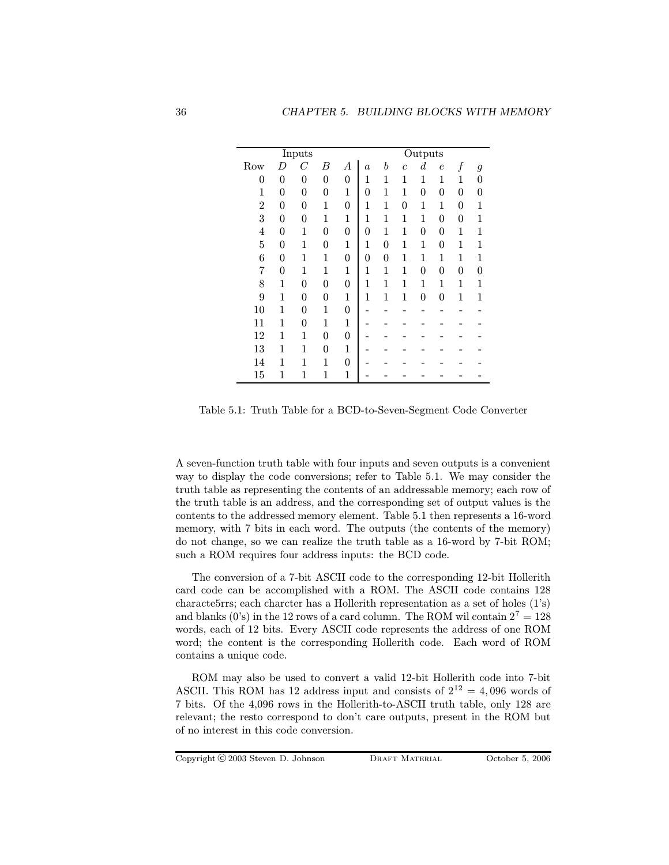|                |                | Inputs           |                  |                |                  |                  |                |                  |                  |                  |                   |
|----------------|----------------|------------------|------------------|----------------|------------------|------------------|----------------|------------------|------------------|------------------|-------------------|
|                | Outputs        |                  |                  |                |                  |                  |                |                  |                  |                  |                   |
| Row            | D              | C                | В                | А              | $\boldsymbol{a}$ | b                | $\overline{c}$ | $\boldsymbol{d}$ | $\epsilon$       | $\boldsymbol{f}$ | $\scriptstyle{g}$ |
| 0              | $\overline{0}$ | $\boldsymbol{0}$ | $\boldsymbol{0}$ | 0              | $\mathbf 1$      | 1                | 1              | $\mathbf{1}$     | 1                | 1                | 0                 |
| $\mathbf{1}$   | $\overline{0}$ | $\boldsymbol{0}$ | $\boldsymbol{0}$ | $\mathbf{1}$   | $\overline{0}$   | 1                | 1              | $\overline{0}$   | $\boldsymbol{0}$ | $\overline{0}$   | 0                 |
| $\overline{2}$ | $\overline{0}$ | $\boldsymbol{0}$ | 1                | $\overline{0}$ | 1                | 1                | 0              | 1                | 1                | 0                | 1                 |
| 3              | $\overline{0}$ | $\boldsymbol{0}$ | 1                | 1              | 1                | 1                | 1              | 1                | $\overline{0}$   | 0                | 1                 |
| $\overline{4}$ | $\overline{0}$ | 1                | $\overline{0}$   | $\overline{0}$ | 0                | 1                | $\mathbf{1}$   | $\overline{0}$   | $\overline{0}$   | 1                | 1                 |
| $\overline{5}$ | $\overline{0}$ | $\mathbf{1}$     | $\boldsymbol{0}$ | $\mathbf 1$    | 1                | 0                | $\mathbf{1}$   | $\mathbf{1}$     | $\boldsymbol{0}$ | 1                | 1                 |
| $\,6$          | $\overline{0}$ | 1                | $\mathbf{1}$     | $\overline{0}$ | $\overline{0}$   | $\boldsymbol{0}$ | $\mathbf{1}$   | 1                | 1                | 1                | 1                 |
| 7              | $\overline{0}$ | 1                | 1                | $\mathbf{1}$   | 1                | $\mathbf{1}$     | 1              | $\overline{0}$   | $\boldsymbol{0}$ | $\overline{0}$   | 0                 |
| 8              | 1              | $\overline{0}$   | $\overline{0}$   | $\overline{0}$ | 1                | 1                | 1              | $\mathbf{1}$     | 1                | 1                | 1                 |
| 9              | 1              | $\overline{0}$   | $\boldsymbol{0}$ | 1              | 1                | 1                | 1              | $\overline{0}$   | $\boldsymbol{0}$ | 1                | 1                 |
| 10             | 1              | $\overline{0}$   | 1                | $\overline{0}$ |                  |                  |                |                  |                  |                  |                   |
| 11             | 1              | $\boldsymbol{0}$ | 1                | $\mathbf{1}$   |                  |                  |                |                  |                  |                  |                   |
| 12             | 1              | 1                | $\overline{0}$   | $\overline{0}$ |                  |                  |                |                  |                  |                  |                   |
| 13             | 1              | 1                | $\boldsymbol{0}$ | $\mathbf 1$    |                  |                  |                |                  |                  |                  |                   |
| 14             | 1              | 1                | 1                | $\overline{0}$ |                  |                  |                |                  |                  |                  |                   |
| 15             | 1              | 1                | 1                | 1              |                  |                  |                |                  |                  |                  |                   |

Table 5.1: Truth Table for a BCD-to-Seven-Segment Code Converter

A seven-function truth table with four inputs and seven outputs is a convenient way to display the code conversions; refer to Table 5.1. We may consider the truth table as representing the contents of an addressable memory; each row of the truth table is an address, and the corresponding set of output values is the contents to the addressed memory element. Table 5.1 then represents a 16-word memory, with 7 bits in each word. The outputs (the contents of the memory) do not change, so we can realize the truth table as a 16-word by 7-bit ROM; such a ROM requires four address inputs: the BCD code.

The conversion of a 7-bit ASCII code to the corresponding 12-bit Hollerith card code can be accomplished with a ROM. The ASCII code contains 128 characte5rrs; each charcter has a Hollerith representation as a set of holes (1's) and blanks (0's) in the 12 rows of a card column. The ROM wil contain  $2^7 = 128$ words, each of 12 bits. Every ASCII code represents the address of one ROM word; the content is the corresponding Hollerith code. Each word of ROM contains a unique code.

ROM may also be used to convert a valid 12-bit Hollerith code into 7-bit ASCII. This ROM has 12 address input and consists of  $2^{12} = 4,096$  words of 7 bits. Of the 4,096 rows in the Hollerith-to-ASCII truth table, only 128 are relevant; the resto correspond to don't care outputs, present in the ROM but of no interest in this code conversion.

Copyright © 2003 Steven D. Johnson DRAFT MATERIAL October 5, 2006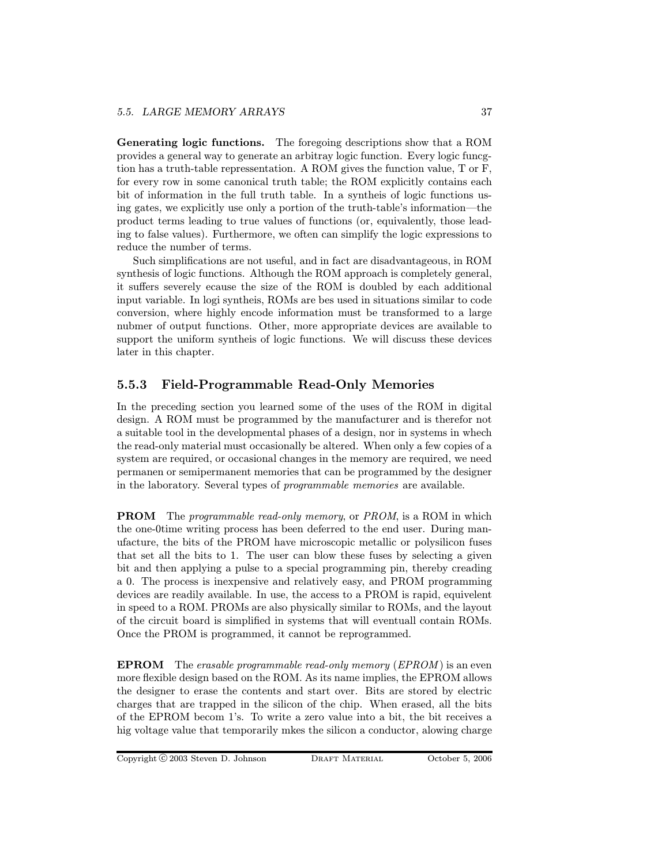Generating logic functions. The foregoing descriptions show that a ROM provides a general way to generate an arbitray logic function. Every logic funcgtion has a truth-table repressentation. A ROM gives the function value, T or F, for every row in some canonical truth table; the ROM explicitly contains each bit of information in the full truth table. In a syntheis of logic functions using gates, we explicitly use only a portion of the truth-table's information—the product terms leading to true values of functions (or, equivalently, those leading to false values). Furthermore, we often can simplify the logic expressions to reduce the number of terms.

Such simplifications are not useful, and in fact are disadvantageous, in ROM synthesis of logic functions. Although the ROM approach is completely general, it suffers severely ecause the size of the ROM is doubled by each additional input variable. In logi syntheis, ROMs are bes used in situations similar to code conversion, where highly encode information must be transformed to a large nubmer of output functions. Other, more appropriate devices are available to support the uniform syntheis of logic functions. We will discuss these devices later in this chapter.

#### 5.5.3 Field-Programmable Read-Only Memories

In the preceding section you learned some of the uses of the ROM in digital design. A ROM must be programmed by the manufacturer and is therefor not a suitable tool in the developmental phases of a design, nor in systems in whech the read-only material must occasionally be altered. When only a few copies of a system are required, or occasional changes in the memory are required, we need permanen or semipermanent memories that can be programmed by the designer in the laboratory. Several types of programmable memories are available.

**PROM** The programmable read-only memory, or PROM, is a ROM in which the one-0time writing process has been deferred to the end user. During manufacture, the bits of the PROM have microscopic metallic or polysilicon fuses that set all the bits to 1. The user can blow these fuses by selecting a given bit and then applying a pulse to a special programming pin, thereby creading a 0. The process is inexpensive and relatively easy, and PROM programming devices are readily available. In use, the access to a PROM is rapid, equivelent in speed to a ROM. PROMs are also physically similar to ROMs, and the layout of the circuit board is simplified in systems that will eventuall contain ROMs. Once the PROM is programmed, it cannot be reprogrammed.

EPROM The erasable programmable read-only memory (EPROM ) is an even more flexible design based on the ROM. As its name implies, the EPROM allows the designer to erase the contents and start over. Bits are stored by electric charges that are trapped in the silicon of the chip. When erased, all the bits of the EPROM becom 1's. To write a zero value into a bit, the bit receives a hig voltage value that temporarily mkes the silicon a conductor, alowing charge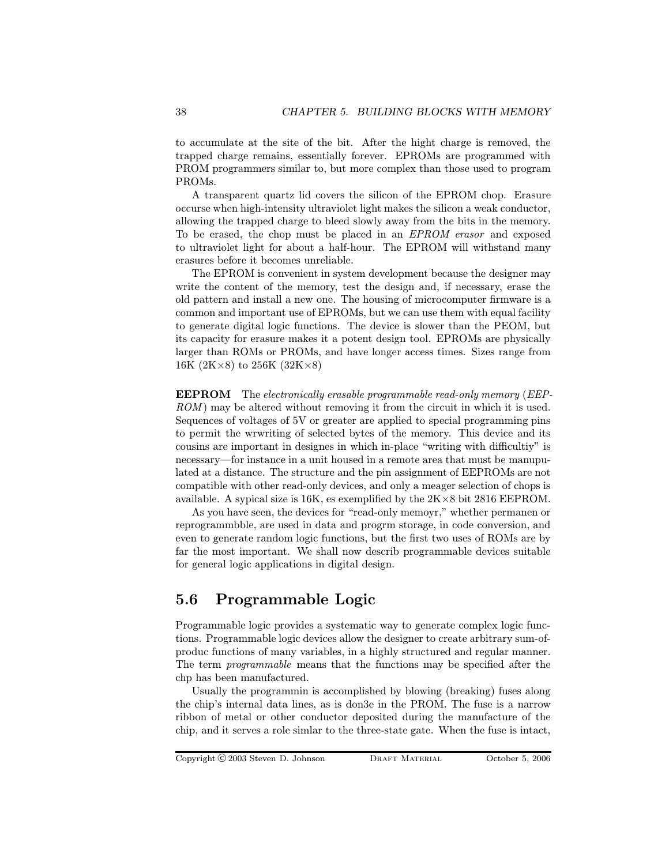to accumulate at the site of the bit. After the hight charge is removed, the trapped charge remains, essentially forever. EPROMs are programmed with PROM programmers similar to, but more complex than those used to program PROMs.

A transparent quartz lid covers the silicon of the EPROM chop. Erasure occurse when high-intensity ultraviolet light makes the silicon a weak conductor, allowing the trapped charge to bleed slowly away from the bits in the memory. To be erased, the chop must be placed in an EPROM erasor and exposed to ultraviolet light for about a half-hour. The EPROM will withstand many erasures before it becomes unreliable.

The EPROM is convenient in system development because the designer may write the content of the memory, test the design and, if necessary, erase the old pattern and install a new one. The housing of microcomputer firmware is a common and important use of EPROMs, but we can use them with equal facility to generate digital logic functions. The device is slower than the PEOM, but its capacity for erasure makes it a potent design tool. EPROMs are physically larger than ROMs or PROMs, and have longer access times. Sizes range from 16K (2K $\times$ 8) to 256K (32K $\times$ 8)

EEPROM The electronically erasable programmable read-only memory (EEP- $ROM$ ) may be altered without removing it from the circuit in which it is used. Sequences of voltages of 5V or greater are applied to special programming pins to permit the wrwriting of selected bytes of the memory. This device and its cousins are important in designes in which in-place "writing with difficultiy" is necessary—for instance in a unit housed in a remote area that must be manupulated at a distance. The structure and the pin assignment of EEPROMs are not compatible with other read-only devices, and only a meager selection of chops is available. A sypical size is  $16K$ , es exemplified by the  $2K \times 8$  bit  $2816$  EEPROM.

As you have seen, the devices for "read-only memoyr," whether permanen or reprogrammbble, are used in data and progrm storage, in code conversion, and even to generate random logic functions, but the first two uses of ROMs are by far the most important. We shall now describ programmable devices suitable for general logic applications in digital design.

## 5.6 Programmable Logic

Programmable logic provides a systematic way to generate complex logic functions. Programmable logic devices allow the designer to create arbitrary sum-ofproduc functions of many variables, in a highly structured and regular manner. The term programmable means that the functions may be specified after the chp has been manufactured.

Usually the programmin is accomplished by blowing (breaking) fuses along the chip's internal data lines, as is don3e in the PROM. The fuse is a narrow ribbon of metal or other conductor deposited during the manufacture of the chip, and it serves a role simlar to the three-state gate. When the fuse is intact,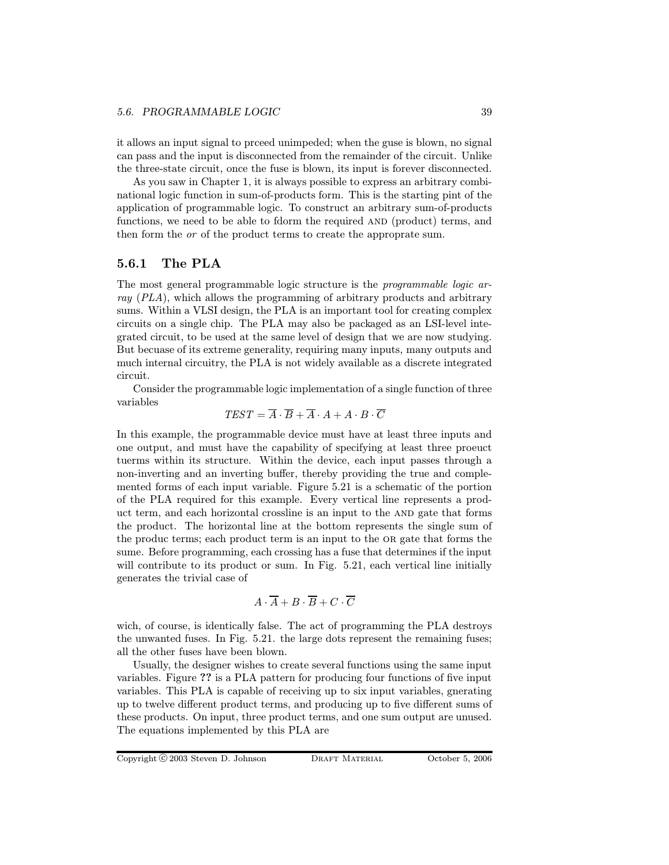it allows an input signal to prceed unimpeded; when the guse is blown, no signal can pass and the input is disconnected from the remainder of the circuit. Unlike the three-state circuit, once the fuse is blown, its input is forever disconnected.

As you saw in Chapter 1, it is always possible to express an arbitrary combinational logic function in sum-of-products form. This is the starting pint of the application of programmable logic. To construct an arbitrary sum-of-products functions, we need to be able to fdorm the required AND (product) terms, and then form the or of the product terms to create the approprate sum.

#### 5.6.1 The PLA

The most general programmable logic structure is the *programmable logic ar*ray (PLA), which allows the programming of arbitrary products and arbitrary sums. Within a VLSI design, the PLA is an important tool for creating complex circuits on a single chip. The PLA may also be packaged as an LSI-level integrated circuit, to be used at the same level of design that we are now studying. But becuase of its extreme generality, requiring many inputs, many outputs and much internal circuitry, the PLA is not widely available as a discrete integrated circuit.

Consider the programmable logic implementation of a single function of three variables

$$
TEST = \overline{A} \cdot \overline{B} + \overline{A} \cdot A + A \cdot B \cdot \overline{C}
$$

In this example, the programmable device must have at least three inputs and one output, and must have the capability of specifying at least three proeuct tuerms within its structure. Within the device, each input passes through a non-inverting and an inverting buffer, thereby providing the true and complemented forms of each input variable. Figure 5.21 is a schematic of the portion of the PLA required for this example. Every vertical line represents a product term, and each horizontal crossline is an input to the AND gate that forms the product. The horizontal line at the bottom represents the single sum of the product terms; each product term is an input to the OR gate that forms the sume. Before programming, each crossing has a fuse that determines if the input will contribute to its product or sum. In Fig. 5.21, each vertical line initially generates the trivial case of

$$
A \cdot \overline{A} + B \cdot \overline{B} + C \cdot \overline{C}
$$

wich, of course, is identically false. The act of programming the PLA destroys the unwanted fuses. In Fig. 5.21. the large dots represent the remaining fuses; all the other fuses have been blown.

Usually, the designer wishes to create several functions using the same input variables. Figure ?? is a PLA pattern for producing four functions of five input variables. This PLA is capable of receiving up to six input variables, gnerating up to twelve different product terms, and producing up to five different sums of these products. On input, three product terms, and one sum output are unused. The equations implemented by this PLA are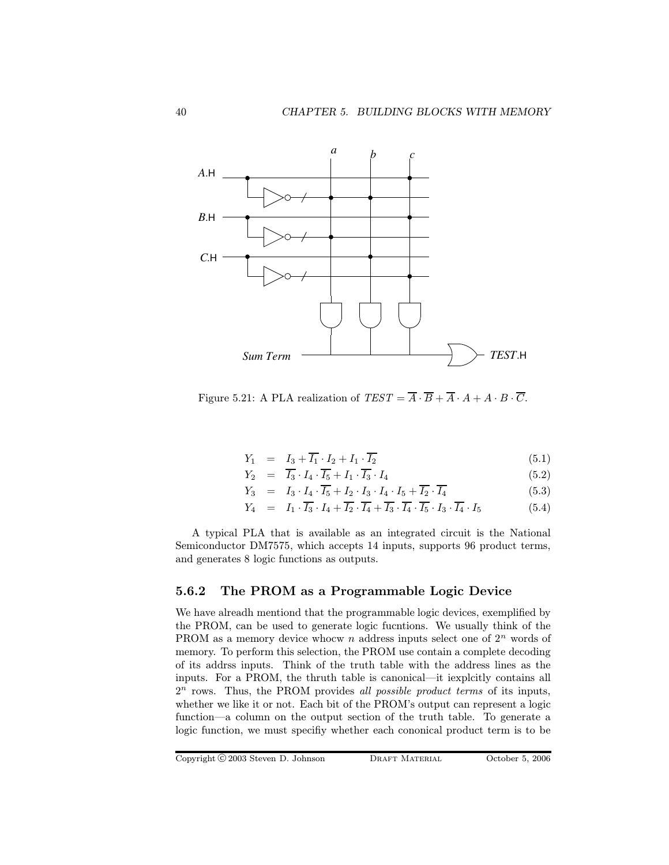

Figure 5.21: A PLA realization of  $TEST = \overline{A} \cdot \overline{B} + \overline{A} \cdot A + A \cdot B \cdot \overline{C}$ .

$$
Y_1 = I_3 + \overline{I_1} \cdot I_2 + I_1 \cdot \overline{I_2} \tag{5.1}
$$

$$
Y_2 = \overline{I_3} \cdot I_4 \cdot \overline{I_5} + I_1 \cdot \overline{I_3} \cdot I_4 \tag{5.2}
$$

$$
Y_3 = I_3 \cdot I_4 \cdot \overline{I_5} + I_2 \cdot I_3 \cdot I_4 \cdot I_5 + \overline{I_2} \cdot \overline{I_4}
$$
 (5.3)

$$
Y_4 = I_1 \cdot \overline{I_3} \cdot I_4 + \overline{I_2} \cdot \overline{I_4} + \overline{I_3} \cdot \overline{I_4} \cdot \overline{I_5} \cdot I_3 \cdot \overline{I_4} \cdot I_5 \tag{5.4}
$$

A typical PLA that is available as an integrated circuit is the National Semiconductor DM7575, which accepts 14 inputs, supports 96 product terms, and generates 8 logic functions as outputs.

#### 5.6.2 The PROM as a Programmable Logic Device

We have alreadh mentiond that the programmable logic devices, exemplified by the PROM, can be used to generate logic fucntions. We usually think of the PROM as a memory device whocw  $n$  address inputs select one of  $2^n$  words of memory. To perform this selection, the PROM use contain a complete decoding of its addrss inputs. Think of the truth table with the address lines as the inputs. For a PROM, the thruth table is canonical—it iexplcitly contains all  $2<sup>n</sup>$  rows. Thus, the PROM provides all possible product terms of its inputs, whether we like it or not. Each bit of the PROM's output can represent a logic function—a column on the output section of the truth table. To generate a logic function, we must specifiy whether each cononical product term is to be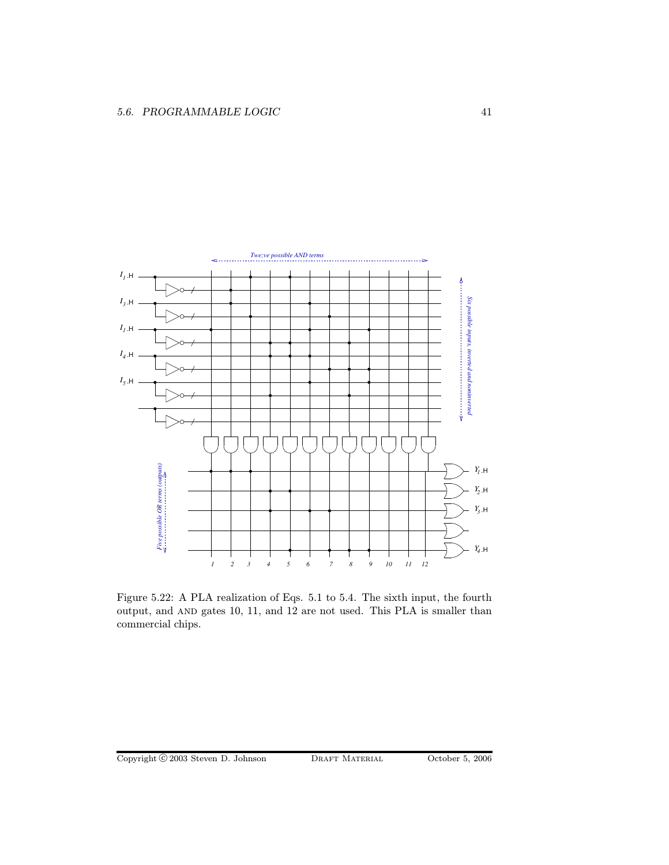

Figure 5.22: A PLA realization of Eqs. 5.1 to 5.4. The sixth input, the fourth output, and AND gates 10, 11, and 12 are not used. This PLA is smaller than commercial chips.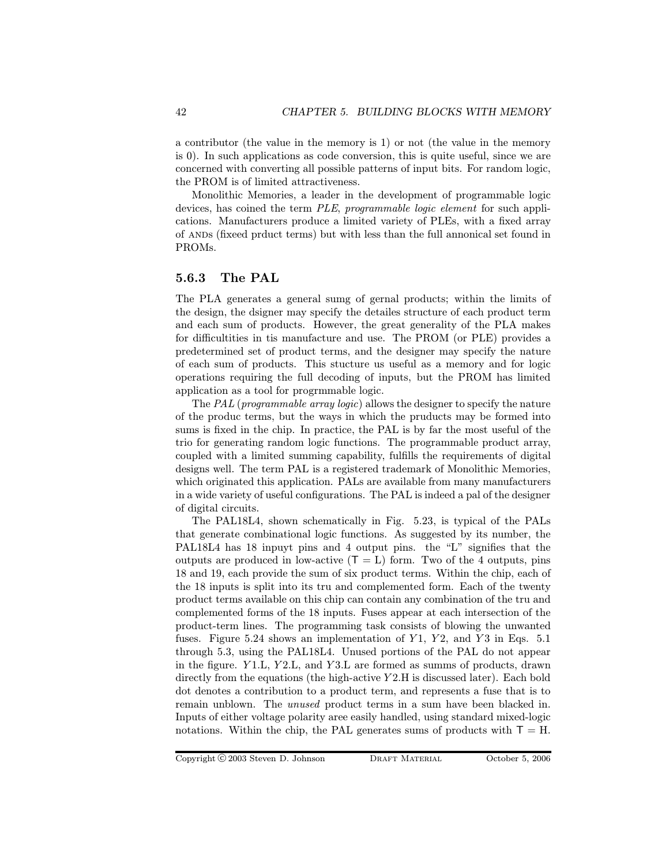a contributor (the value in the memory is 1) or not (the value in the memory is 0). In such applications as code conversion, this is quite useful, since we are concerned with converting all possible patterns of input bits. For random logic, the PROM is of limited attractiveness.

Monolithic Memories, a leader in the development of programmable logic devices, has coined the term PLE, programmable logic element for such applications. Manufacturers produce a limited variety of PLEs, with a fixed array of ANDs (fixeed prduct terms) but with less than the full annonical set found in PROMs.

#### 5.6.3 The PAL

The PLA generates a general sumg of gernal products; within the limits of the design, the dsigner may specify the detailes structure of each product term and each sum of products. However, the great generality of the PLA makes for difficultities in tis manufacture and use. The PROM (or PLE) provides a predetermined set of product terms, and the designer may specify the nature of each sum of products. This stucture us useful as a memory and for logic operations requiring the full decoding of inputs, but the PROM has limited application as a tool for progrmmable logic.

The PAL (programmable array logic) allows the designer to specify the nature of the produc terms, but the ways in which the pruducts may be formed into sums is fixed in the chip. In practice, the PAL is by far the most useful of the trio for generating random logic functions. The programmable product array, coupled with a limited summing capability, fulfills the requirements of digital designs well. The term PAL is a registered trademark of Monolithic Memories, which originated this application. PALs are available from many manufacturers in a wide variety of useful configurations. The PAL is indeed a pal of the designer of digital circuits.

The PAL18L4, shown schematically in Fig. 5.23, is typical of the PALs that generate combinational logic functions. As suggested by its number, the PAL18L4 has 18 inpuyt pins and 4 output pins. the "L" signifies that the outputs are produced in low-active  $(T = L)$  form. Two of the 4 outputs, pins 18 and 19, each provide the sum of six product terms. Within the chip, each of the 18 inputs is split into its tru and complemented form. Each of the twenty product terms available on this chip can contain any combination of the tru and complemented forms of the 18 inputs. Fuses appear at each intersection of the product-term lines. The programming task consists of blowing the unwanted fuses. Figure 5.24 shows an implementation of  $Y1$ ,  $Y2$ , and  $Y3$  in Eqs. 5.1 through 5.3, using the PAL18L4. Unused portions of the PAL do not appear in the figure. Y1.L, Y2.L, and Y3.L are formed as summs of products, drawn directly from the equations (the high-active  $Y2.H$  is discussed later). Each bold dot denotes a contribution to a product term, and represents a fuse that is to remain unblown. The unused product terms in a sum have been blacked in. Inputs of either voltage polarity aree easily handled, using standard mixed-logic notations. Within the chip, the PAL generates sums of products with  $T = H$ .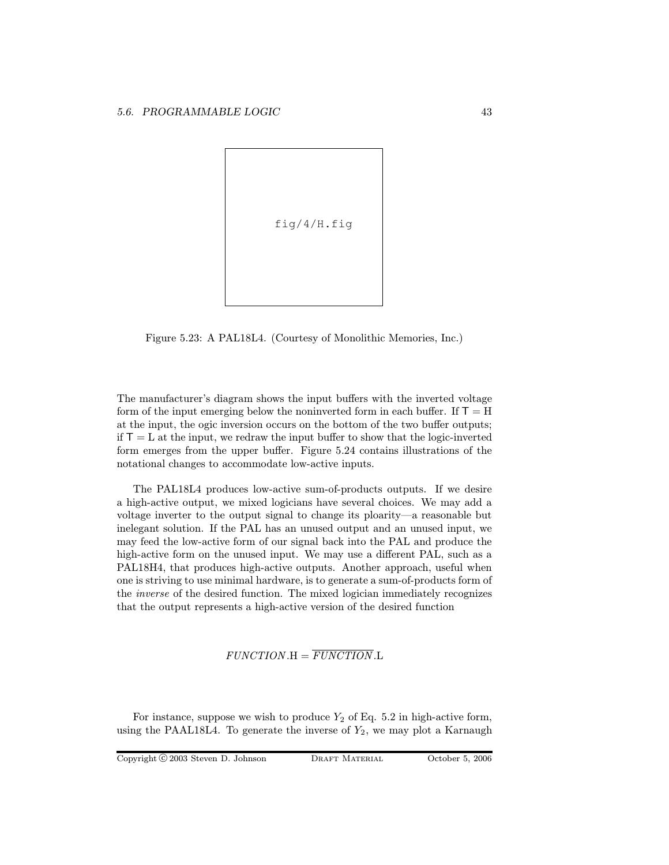

Figure 5.23: A PAL18L4. (Courtesy of Monolithic Memories, Inc.)

The manufacturer's diagram shows the input buffers with the inverted voltage form of the input emerging below the noninverted form in each buffer. If  $T = H$ at the input, the ogic inversion occurs on the bottom of the two buffer outputs; if  $T = L$  at the input, we redraw the input buffer to show that the logic-inverted form emerges from the upper buffer. Figure 5.24 contains illustrations of the notational changes to accommodate low-active inputs.

The PAL18L4 produces low-active sum-of-products outputs. If we desire a high-active output, we mixed logicians have several choices. We may add a voltage inverter to the output signal to change its ploarity—a reasonable but inelegant solution. If the PAL has an unused output and an unused input, we may feed the low-active form of our signal back into the PAL and produce the high-active form on the unused input. We may use a different PAL, such as a PAL18H4, that produces high-active outputs. Another approach, useful when one is striving to use minimal hardware, is to generate a sum-of-products form of the inverse of the desired function. The mixed logician immediately recognizes that the output represents a high-active version of the desired function

#### $FUNCTION.H = \overline{FUNCTION}.$

For instance, suppose we wish to produce  $Y_2$  of Eq. 5.2 in high-active form, using the PAAL18L4. To generate the inverse of  $Y_2$ , we may plot a Karnaugh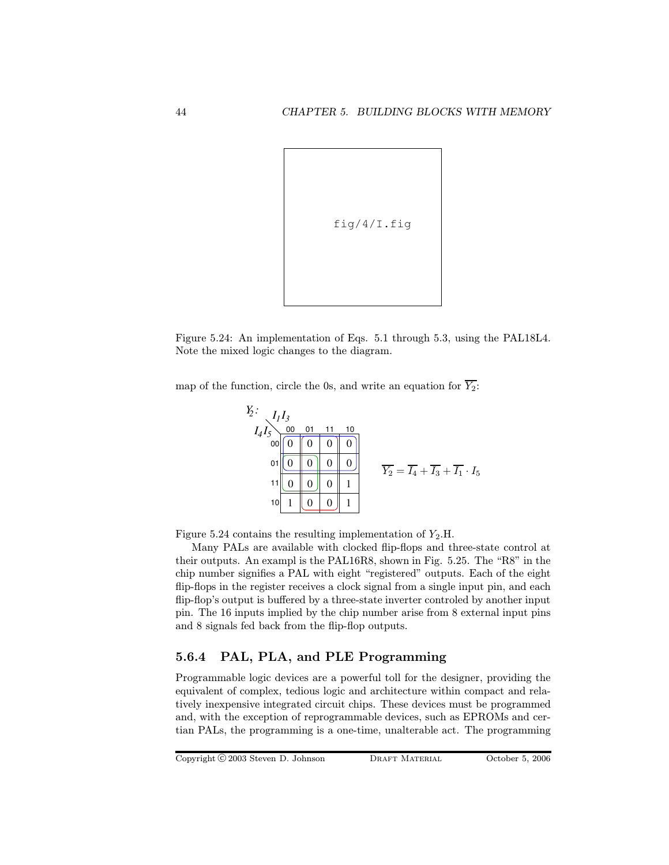

Figure 5.24: An implementation of Eqs. 5.1 through 5.3, using the PAL18L4. Note the mixed logic changes to the diagram.

map of the function, circle the 0s, and write an equation for  $\overline{Y_2}$ :

$$
\begin{array}{ccc}\nY_2: & I_1 I_3 \\
I_4 I_5 & 00 & 01 & 11 & 10 \\
& 00 & 0 & 0 & 0 & 0 \\
& 01 & 0 & 0 & 0 & 0 \\
& 11 & 0 & 0 & 0 & 1 \\
& 10 & 1 & 0 & 0 & 1\n\end{array}\n\qquad\n\begin{array}{c}\nY_2 = T_4 + T_3 + T_1 \cdot I_5 \\
& 1 \cdot T_2 = T_4 + T_3 + T_1 \cdot I_5\n\end{array}
$$

Figure 5.24 contains the resulting implementation of  $Y_2$ .H.

Many PALs are available with clocked flip-flops and three-state control at their outputs. An exampl is the PAL16R8, shown in Fig. 5.25. The "R8" in the chip number signifies a PAL with eight "registered" outputs. Each of the eight flip-flops in the register receives a clock signal from a single input pin, and each flip-flop's output is buffered by a three-state inverter controled by another input pin. The 16 inputs implied by the chip number arise from 8 external input pins and 8 signals fed back from the flip-flop outputs.

#### 5.6.4 PAL, PLA, and PLE Programming

Programmable logic devices are a powerful toll for the designer, providing the equivalent of complex, tedious logic and architecture within compact and relatively inexpensive integrated circuit chips. These devices must be programmed and, with the exception of reprogrammable devices, such as EPROMs and certian PALs, the programming is a one-time, unalterable act. The programming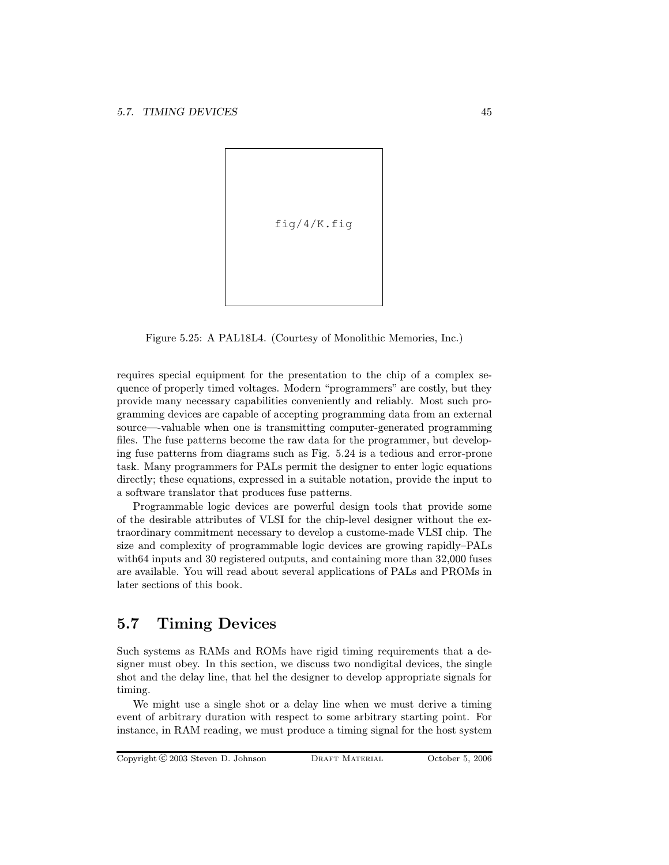

Figure 5.25: A PAL18L4. (Courtesy of Monolithic Memories, Inc.)

requires special equipment for the presentation to the chip of a complex sequence of properly timed voltages. Modern "programmers" are costly, but they provide many necessary capabilities conveniently and reliably. Most such programming devices are capable of accepting programming data from an external source—-valuable when one is transmitting computer-generated programming files. The fuse patterns become the raw data for the programmer, but developing fuse patterns from diagrams such as Fig. 5.24 is a tedious and error-prone task. Many programmers for PALs permit the designer to enter logic equations directly; these equations, expressed in a suitable notation, provide the input to a software translator that produces fuse patterns.

Programmable logic devices are powerful design tools that provide some of the desirable attributes of VLSI for the chip-level designer without the extraordinary commitment necessary to develop a custome-made VLSI chip. The size and complexity of programmable logic devices are growing rapidly–PALs with64 inputs and 30 registered outputs, and containing more than 32,000 fuses are available. You will read about several applications of PALs and PROMs in later sections of this book.

## 5.7 Timing Devices

Such systems as RAMs and ROMs have rigid timing requirements that a designer must obey. In this section, we discuss two nondigital devices, the single shot and the delay line, that hel the designer to develop appropriate signals for timing.

We might use a single shot or a delay line when we must derive a timing event of arbitrary duration with respect to some arbitrary starting point. For instance, in RAM reading, we must produce a timing signal for the host system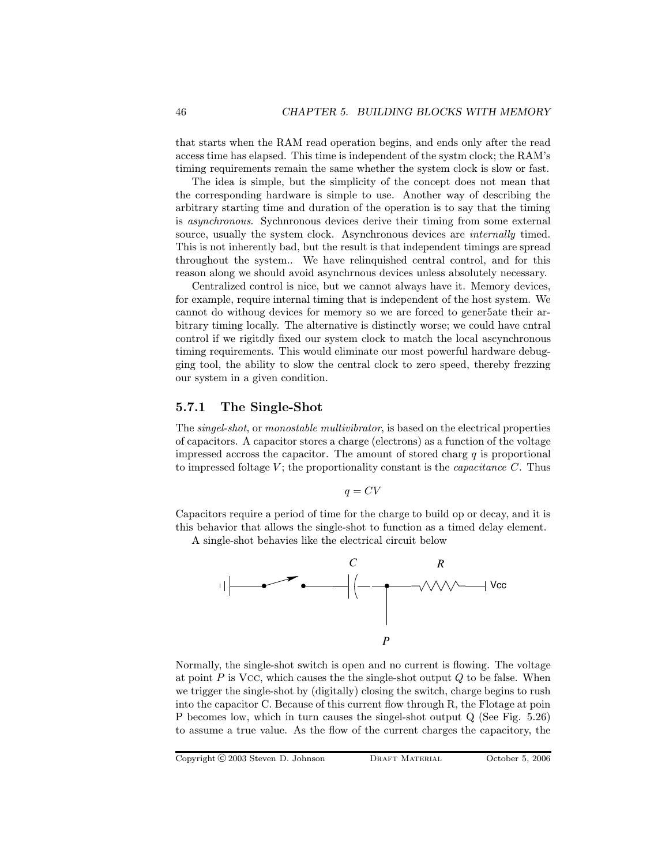that starts when the RAM read operation begins, and ends only after the read access time has elapsed. This time is independent of the systm clock; the RAM's timing requirements remain the same whether the system clock is slow or fast.

The idea is simple, but the simplicity of the concept does not mean that the corresponding hardware is simple to use. Another way of describing the arbitrary starting time and duration of the operation is to say that the timing is asynchronous. Sychnronous devices derive their timing from some external source, usually the system clock. Asynchronous devices are internally timed. This is not inherently bad, but the result is that independent timings are spread throughout the system.. We have relinquished central control, and for this reason along we should avoid asynchrnous devices unless absolutely necessary.

Centralized control is nice, but we cannot always have it. Memory devices, for example, require internal timing that is independent of the host system. We cannot do withoug devices for memory so we are forced to gener5ate their arbitrary timing locally. The alternative is distinctly worse; we could have cntral control if we rigitdly fixed our system clock to match the local ascynchronous timing requirements. This would eliminate our most powerful hardware debugging tool, the ability to slow the central clock to zero speed, thereby frezzing our system in a given condition.

#### 5.7.1 The Single-Shot

The singel-shot, or monostable multivibrator, is based on the electrical properties of capacitors. A capacitor stores a charge (electrons) as a function of the voltage impressed accross the capacitor. The amount of stored charg  $q$  is proportional to impressed foltage  $V$ ; the proportionality constant is the *capacitance*  $C$ . Thus

$$
q=CV
$$

Capacitors require a period of time for the charge to build op or decay, and it is this behavior that allows the single-shot to function as a timed delay element.

A single-shot behavies like the electrical circuit below



Normally, the single-shot switch is open and no current is flowing. The voltage at point  $P$  is Vcc, which causes the the single-shot output  $Q$  to be false. When we trigger the single-shot by (digitally) closing the switch, charge begins to rush into the capacitor C. Because of this current flow through R, the Flotage at poin P becomes low, which in turn causes the singel-shot output Q (See Fig. 5.26) to assume a true value. As the flow of the current charges the capacitory, the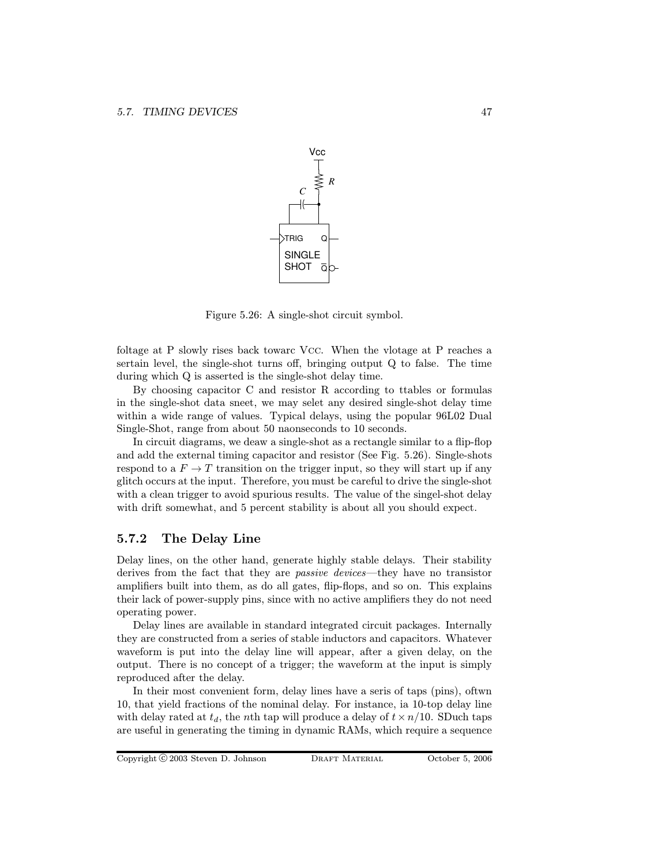

Figure 5.26: A single-shot circuit symbol.

foltage at P slowly rises back towarc Vcc. When the vlotage at P reaches a sertain level, the single-shot turns off, bringing output Q to false. The time during which Q is asserted is the single-shot delay time.

By choosing capacitor C and resistor R according to ttables or formulas in the single-shot data sneet, we may selet any desired single-shot delay time within a wide range of values. Typical delays, using the popular 96L02 Dual Single-Shot, range from about 50 naonseconds to 10 seconds.

In circuit diagrams, we deaw a single-shot as a rectangle similar to a flip-flop and add the external timing capacitor and resistor (See Fig. 5.26). Single-shots respond to a  $F \to T$  transition on the trigger input, so they will start up if any glitch occurs at the input. Therefore, you must be careful to drive the single-shot with a clean trigger to avoid spurious results. The value of the singel-shot delay with drift somewhat, and 5 percent stability is about all you should expect.

#### 5.7.2 The Delay Line

Delay lines, on the other hand, generate highly stable delays. Their stability derives from the fact that they are passive devices—they have no transistor amplifiers built into them, as do all gates, flip-flops, and so on. This explains their lack of power-supply pins, since with no active amplifiers they do not need operating power.

Delay lines are available in standard integrated circuit packages. Internally they are constructed from a series of stable inductors and capacitors. Whatever waveform is put into the delay line will appear, after a given delay, on the output. There is no concept of a trigger; the waveform at the input is simply reproduced after the delay.

In their most convenient form, delay lines have a seris of taps (pins), oftwn 10, that yield fractions of the nominal delay. For instance, ia 10-top delay line with delay rated at  $t_d$ , the nth tap will produce a delay of  $t \times n/10$ . SDuch taps are useful in generating the timing in dynamic RAMs, which require a sequence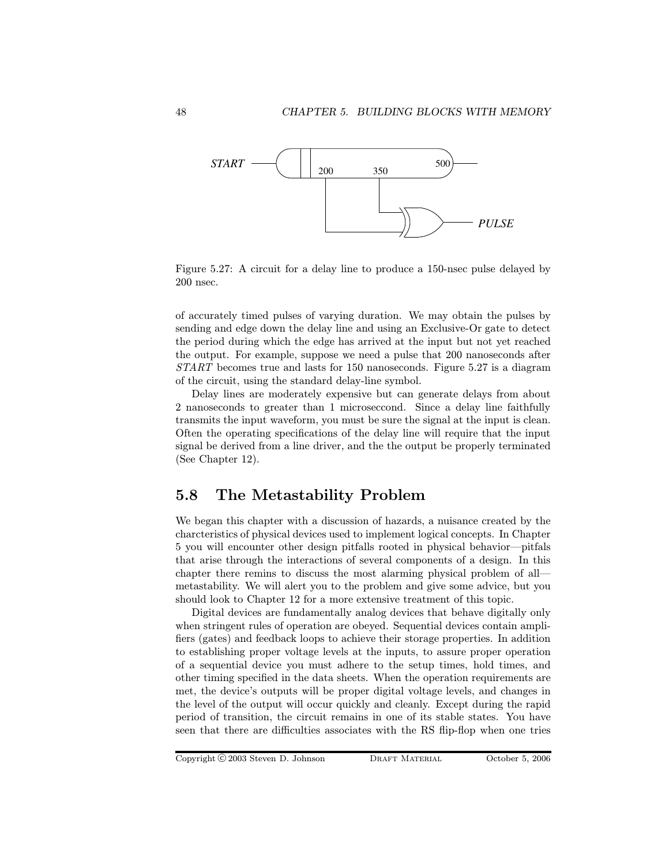

Figure 5.27: A circuit for a delay line to produce a 150-nsec pulse delayed by 200 nsec.

of accurately timed pulses of varying duration. We may obtain the pulses by sending and edge down the delay line and using an Exclusive-Or gate to detect the period during which the edge has arrived at the input but not yet reached the output. For example, suppose we need a pulse that 200 nanoseconds after START becomes true and lasts for 150 nanoseconds. Figure 5.27 is a diagram of the circuit, using the standard delay-line symbol.

Delay lines are moderately expensive but can generate delays from about 2 nanoseconds to greater than 1 microseccond. Since a delay line faithfully transmits the input waveform, you must be sure the signal at the input is clean. Often the operating specifications of the delay line will require that the input signal be derived from a line driver, and the the output be properly terminated (See Chapter 12).

## 5.8 The Metastability Problem

We began this chapter with a discussion of hazards, a nuisance created by the charcteristics of physical devices used to implement logical concepts. In Chapter 5 you will encounter other design pitfalls rooted in physical behavior—pitfals that arise through the interactions of several components of a design. In this chapter there remins to discuss the most alarming physical problem of all metastability. We will alert you to the problem and give some advice, but you should look to Chapter 12 for a more extensive treatment of this topic.

Digital devices are fundamentally analog devices that behave digitally only when stringent rules of operation are obeyed. Sequential devices contain amplifiers (gates) and feedback loops to achieve their storage properties. In addition to establishing proper voltage levels at the inputs, to assure proper operation of a sequential device you must adhere to the setup times, hold times, and other timing specified in the data sheets. When the operation requirements are met, the device's outputs will be proper digital voltage levels, and changes in the level of the output will occur quickly and cleanly. Except during the rapid period of transition, the circuit remains in one of its stable states. You have seen that there are difficulties associates with the RS flip-flop when one tries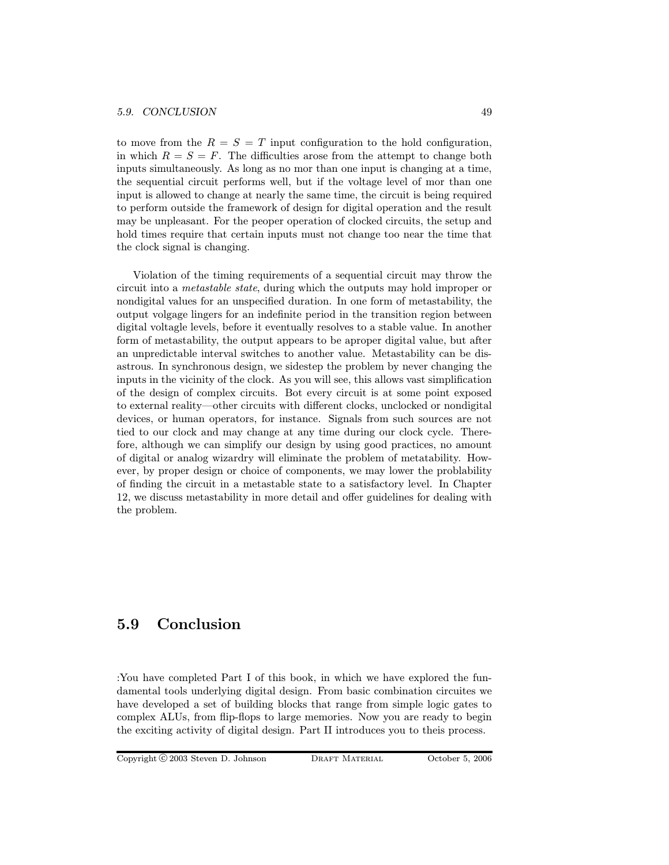to move from the  $R = S = T$  input configuration to the hold configuration, in which  $R = S = F$ . The difficulties arose from the attempt to change both inputs simultaneously. As long as no mor than one input is changing at a time, the sequential circuit performs well, but if the voltage level of mor than one input is allowed to change at nearly the same time, the circuit is being required to perform outside the framework of design for digital operation and the result may be unpleasant. For the peoper operation of clocked circuits, the setup and hold times require that certain inputs must not change too near the time that the clock signal is changing.

Violation of the timing requirements of a sequential circuit may throw the circuit into a metastable state, during which the outputs may hold improper or nondigital values for an unspecified duration. In one form of metastability, the output volgage lingers for an indefinite period in the transition region between digital voltagle levels, before it eventually resolves to a stable value. In another form of metastability, the output appears to be aproper digital value, but after an unpredictable interval switches to another value. Metastability can be disastrous. In synchronous design, we sidestep the problem by never changing the inputs in the vicinity of the clock. As you will see, this allows vast simplification of the design of complex circuits. Bot every circuit is at some point exposed to external reality—other circuits with different clocks, unclocked or nondigital devices, or human operators, for instance. Signals from such sources are not tied to our clock and may change at any time during our clock cycle. Therefore, although we can simplify our design by using good practices, no amount of digital or analog wizardry will eliminate the problem of metatability. However, by proper design or choice of components, we may lower the problability of finding the circuit in a metastable state to a satisfactory level. In Chapter 12, we discuss metastability in more detail and offer guidelines for dealing with the problem.

## 5.9 Conclusion

:You have completed Part I of this book, in which we have explored the fundamental tools underlying digital design. From basic combination circuites we have developed a set of building blocks that range from simple logic gates to complex ALUs, from flip-flops to large memories. Now you are ready to begin the exciting activity of digital design. Part II introduces you to theis process.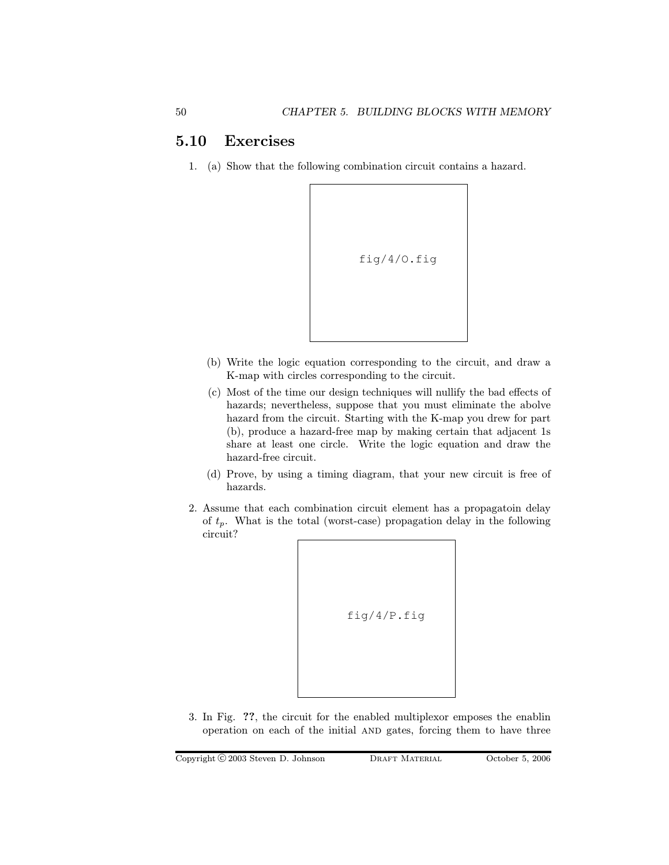## 5.10 Exercises

1. (a) Show that the following combination circuit contains a hazard.



- (b) Write the logic equation corresponding to the circuit, and draw a K-map with circles corresponding to the circuit.
- (c) Most of the time our design techniques will nullify the bad effects of hazards; nevertheless, suppose that you must eliminate the abolve hazard from the circuit. Starting with the K-map you drew for part (b), produce a hazard-free map by making certain that adjacent 1s share at least one circle. Write the logic equation and draw the hazard-free circuit.
- (d) Prove, by using a timing diagram, that your new circuit is free of hazards.
- 2. Assume that each combination circuit element has a propagatoin delay of  $t_p$ . What is the total (worst-case) propagation delay in the following circuit?



3. In Fig. ??, the circuit for the enabled multiplexor emposes the enablin operation on each of the initial AND gates, forcing them to have three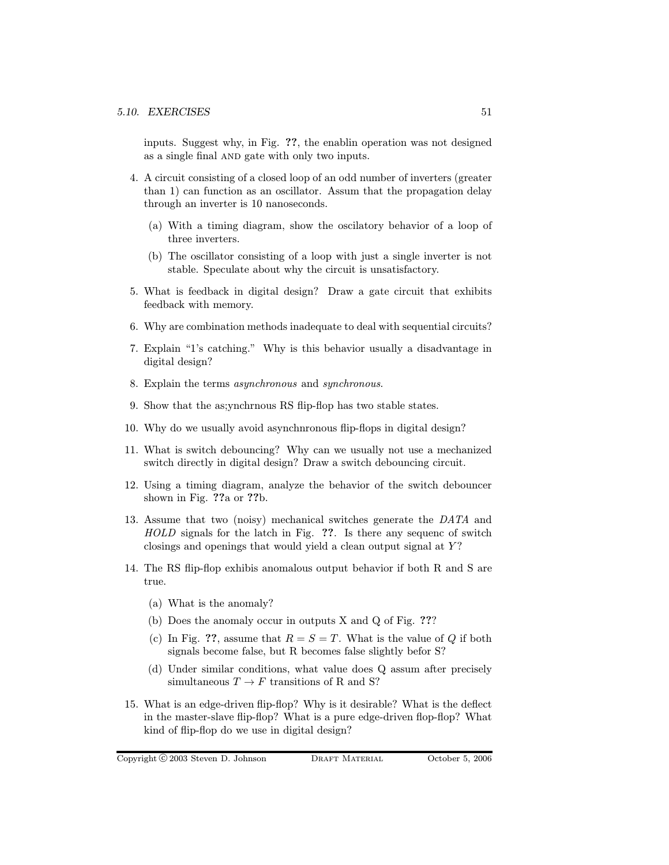inputs. Suggest why, in Fig. ??, the enablin operation was not designed as a single final AND gate with only two inputs.

- 4. A circuit consisting of a closed loop of an odd number of inverters (greater than 1) can function as an oscillator. Assum that the propagation delay through an inverter is 10 nanoseconds.
	- (a) With a timing diagram, show the oscilatory behavior of a loop of three inverters.
	- (b) The oscillator consisting of a loop with just a single inverter is not stable. Speculate about why the circuit is unsatisfactory.
- 5. What is feedback in digital design? Draw a gate circuit that exhibits feedback with memory.
- 6. Why are combination methods inadequate to deal with sequential circuits?
- 7. Explain "1's catching." Why is this behavior usually a disadvantage in digital design?
- 8. Explain the terms asynchronous and synchronous.
- 9. Show that the as;ynchrnous RS flip-flop has two stable states.
- 10. Why do we usually avoid asynchnronous flip-flops in digital design?
- 11. What is switch debouncing? Why can we usually not use a mechanized switch directly in digital design? Draw a switch debouncing circuit.
- 12. Using a timing diagram, analyze the behavior of the switch debouncer shown in Fig. ??a or ??b.
- 13. Assume that two (noisy) mechanical switches generate the DATA and HOLD signals for the latch in Fig. ??. Is there any sequenc of switch closings and openings that would yield a clean output signal at Y ?
- 14. The RS flip-flop exhibis anomalous output behavior if both R and S are true.
	- (a) What is the anomaly?
	- (b) Does the anomaly occur in outputs X and Q of Fig. ???
	- (c) In Fig. ??, assume that  $R = S = T$ . What is the value of Q if both signals become false, but R becomes false slightly befor S?
	- (d) Under similar conditions, what value does Q assum after precisely simultaneous  $T \to F$  transitions of R and S?
- 15. What is an edge-driven flip-flop? Why is it desirable? What is the deflect in the master-slave flip-flop? What is a pure edge-driven flop-flop? What kind of flip-flop do we use in digital design?